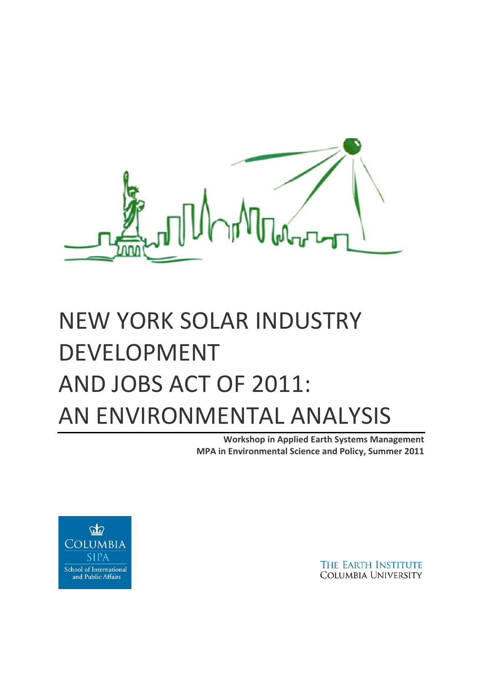# **NEW YORK SOLAR INDUSTRY** DEVELOPMENT! AND JOBS ACT OF 2011: AN!ENVIRONMENTAL!ANALYSIS

**Workshop in Applied Earth Systems Management MPA in Environmental Science and Policy, Summer 2011** 



THE EARTH INSTITUTE COLUMBIA UNIVERSITY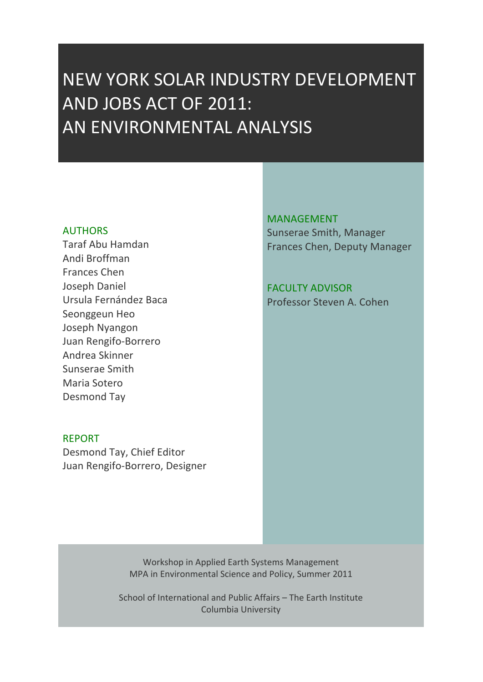# NEW YORK SOLAR INDUSTRY DEVELOPMENT AND JOBS ACT OF 2011: AN ENVIRONMENTAL ANALYSIS

#### **AUTHORS**

Taraf!Abu!Hamdan Andi!Broffman Frances Chen Joseph Daniel Ursula Fernández Baca Seonggeun Heo Joseph!Nyangon Juan Rengifo-Borrero Andrea Skinner Sunserae!Smith Maria Sotero Desmond Tay

#### REPORT

Desmond Tay, Chief Editor Juan Rengifo-Borrero, Designer MANAGEMENT Sunserae Smith, Manager Frances Chen, Deputy Manager

FACULTY ADVISOR Professor Steven A. Cohen

Workshop in Applied Earth Systems Management MPA in Environmental Science and Policy, Summer 2011

School of International and Public Affairs – The Earth Institute Columbia!University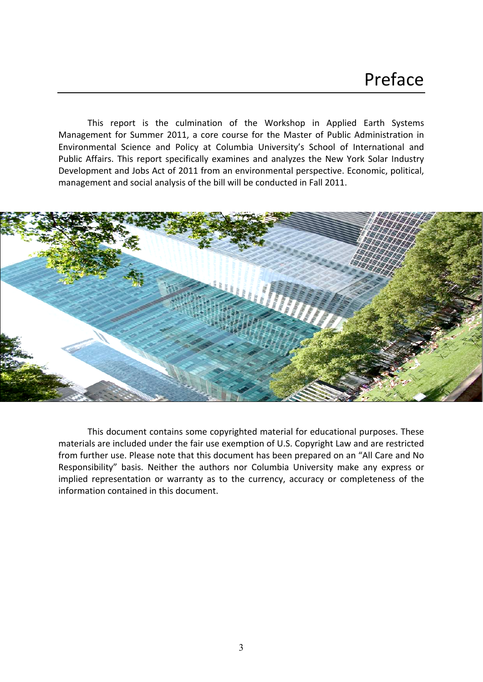This report is the culmination of the Workshop in Applied Earth Systems Management for Summer 2011, a core course for the Master of Public Administration in Environmental Science and Policy at Columbia University's School of International and Public Affairs. This report specifically examines and analyzes the New York Solar Industry Development and Jobs Act of 2011 from an environmental perspective. Economic, political, management and social analysis of the bill will be conducted in Fall 2011.



This document contains some copyrighted material for educational purposes. These materials are included under the fair use exemption of U.S. Copyright Law and are restricted from further use. Please note that this document has been prepared on an "All Care and No Responsibility" basis. Neither the authors nor Columbia University make any express or implied representation or warranty as to the currency, accuracy or completeness of the information contained in this document.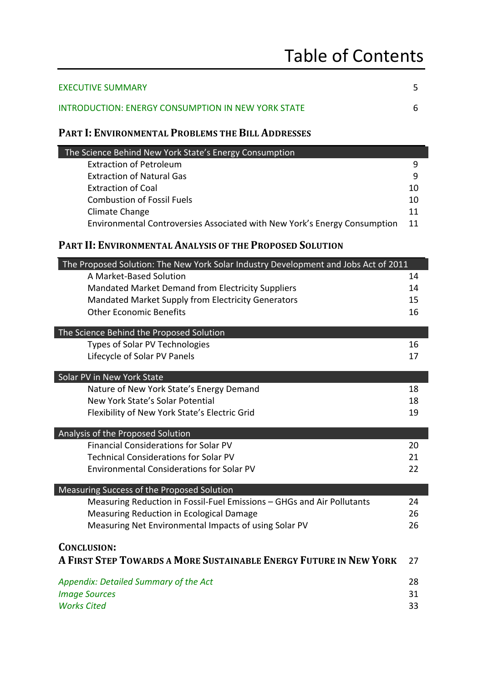| EXECUTIVE SUMMARY                                  |  |
|----------------------------------------------------|--|
| INTRODUCTION: ENERGY CONSUMPTION IN NEW YORK STATE |  |

## PART I: ENVIRONMENTAL PROBLEMS THE BILL ADDRESSES

| The Science Behind New York State's Energy Consumption                    |    |  |  |  |
|---------------------------------------------------------------------------|----|--|--|--|
| <b>Extraction of Petroleum</b>                                            | 9  |  |  |  |
| <b>Extraction of Natural Gas</b>                                          | q  |  |  |  |
| <b>Extraction of Coal</b>                                                 | 10 |  |  |  |
| <b>Combustion of Fossil Fuels</b>                                         | 10 |  |  |  |
| Climate Change                                                            | 11 |  |  |  |
| Environmental Controversies Associated with New York's Energy Consumption | 11 |  |  |  |

## PART II: ENVIRONMENTAL ANALYSIS OF THE PROPOSED SOLUTION

| The Proposed Solution: The New York Solar Industry Development and Jobs Act of 2011 |    |  |  |
|-------------------------------------------------------------------------------------|----|--|--|
| A Market-Based Solution                                                             | 14 |  |  |
| Mandated Market Demand from Electricity Suppliers                                   | 14 |  |  |
| Mandated Market Supply from Electricity Generators                                  | 15 |  |  |
| <b>Other Economic Benefits</b>                                                      | 16 |  |  |
| The Science Behind the Proposed Solution                                            |    |  |  |
| Types of Solar PV Technologies                                                      | 16 |  |  |
| Lifecycle of Solar PV Panels                                                        | 17 |  |  |
| Solar PV in New York State                                                          |    |  |  |
| Nature of New York State's Energy Demand                                            | 18 |  |  |
| New York State's Solar Potential                                                    | 18 |  |  |
| Flexibility of New York State's Electric Grid                                       | 19 |  |  |
| Analysis of the Proposed Solution                                                   |    |  |  |
| <b>Financial Considerations for Solar PV</b>                                        | 20 |  |  |
| <b>Technical Considerations for Solar PV</b>                                        | 21 |  |  |
| <b>Environmental Considerations for Solar PV</b>                                    | 22 |  |  |
| Measuring Success of the Proposed Solution                                          |    |  |  |
| Measuring Reduction in Fossil-Fuel Emissions - GHGs and Air Pollutants              | 24 |  |  |
| Measuring Reduction in Ecological Damage                                            | 26 |  |  |
| Measuring Net Environmental Impacts of using Solar PV                               | 26 |  |  |
| <b>CONCLUSION:</b>                                                                  |    |  |  |
| A FIRST STEP TOWARDS A MORE SUSTAINABLE ENERGY FUTURE IN NEW YORK                   | 27 |  |  |
| Appendix: Detailed Summary of the Act                                               | 28 |  |  |
| <b>Image Sources</b>                                                                | 31 |  |  |
| <b>Works Cited</b>                                                                  | 33 |  |  |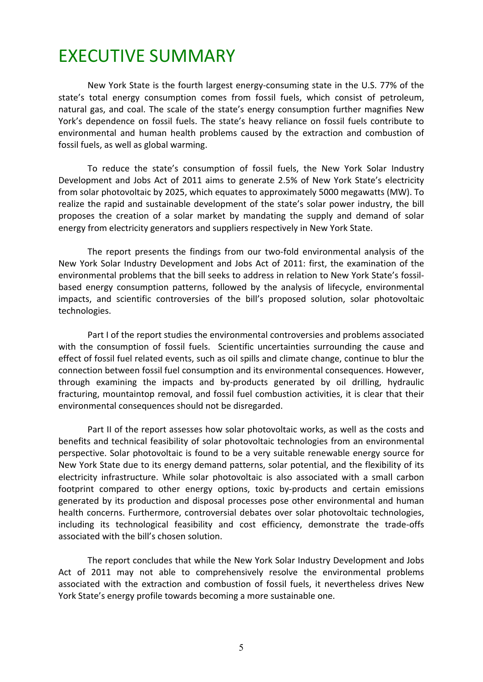## **EXECUTIVE SUMMARY**

New York State is the fourth largest energy-consuming state in the U.S. 77% of the state's total energy consumption comes from fossil fuels, which consist of petroleum, natural gas, and coal. The scale of the state's energy consumption further magnifies New York's dependence on fossil fuels. The state's heavy reliance on fossil fuels contribute to environmental and human health problems caused by the extraction and combustion of fossil fuels, as well as global warming.

To reduce the state's consumption of fossil fuels, the New York Solar Industry Development and Jobs Act of 2011 aims to generate 2.5% of New York State's electricity from solar photovoltaic by 2025, which equates to approximately 5000 megawatts (MW). To realize the rapid and sustainable development of the state's solar power industry, the bill proposes the creation of a solar market by mandating the supply and demand of solar energy from electricity generators and suppliers respectively in New York State.

The report presents the findings from our two-fold environmental analysis of the New York Solar Industry Development and Jobs Act of 2011: first, the examination of the environmental problems that the bill seeks to address in relation to New York State's fossilbased energy consumption patterns, followed by the analysis of lifecycle, environmental impacts, and scientific controversies of the bill's proposed solution, solar photovoltaic technologies.

Part I of the report studies the environmental controversies and problems associated with the consumption of fossil fuels. Scientific uncertainties surrounding the cause and effect of fossil fuel related events, such as oil spills and climate change, continue to blur the connection between fossil fuel consumption and its environmental consequences. However, through examining the impacts and by-products generated by oil drilling, hydraulic fracturing, mountaintop removal, and fossil fuel combustion activities, it is clear that their environmental consequences should not be disregarded.

Part II of the report assesses how solar photovoltaic works, as well as the costs and benefits and technical feasibility of solar photovoltaic technologies from an environmental perspective. Solar photovoltaic is found to be a very suitable renewable energy source for New York State due to its energy demand patterns, solar potential, and the flexibility of its electricity infrastructure. While solar photovoltaic is also associated with a small carbon footprint compared to other energy options, toxic by-products and certain emissions generated by its production and disposal processes pose other environmental and human health concerns. Furthermore, controversial debates over solar photovoltaic technologies, including its technological feasibility and cost efficiency, demonstrate the trade-offs associated with the bill's chosen solution.

The report concludes that while the New York Solar Industry Development and Jobs Act of 2011 may not able to comprehensively resolve the environmental problems associated with the extraction and combustion of fossil fuels, it nevertheless drives New York State's energy profile towards becoming a more sustainable one.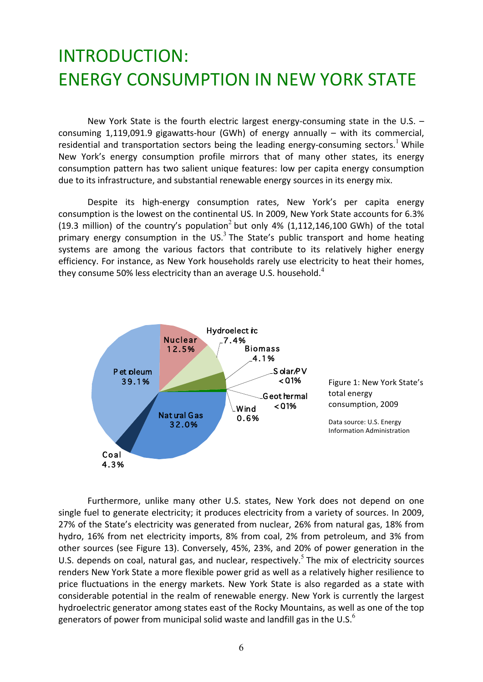# INTRODUCTION:! ENERGY CONSUMPTION IN NEW YORK STATE

New York State is the fourth electric largest energy-consuming state in the U.S.  $$ consuming  $1,119,091.9$  gigawatts-hour (GWh) of energy annually – with its commercial, residential and transportation sectors being the leading energy-consuming sectors.<sup>1</sup> While New York's energy consumption profile mirrors that of many other states, its energy consumption pattern has two salient unique features: low per capita energy consumption due to its infrastructure, and substantial renewable energy sources in its energy mix.

Despite its high-energy consumption rates, New York's per capita energy consumption is the lowest on the continental US. In 2009, New York State accounts for 6.3% (19.3 million) of the country's population<sup>2</sup> but only 4% (1,112,146,100 GWh) of the total primary energy consumption in the  $US<sup>3</sup>$  The State's public transport and home heating systems are among the various factors that contribute to its relatively higher energy efficiency. For instance, as New York households rarely use electricity to heat their homes, they consume 50% less electricity than an average U.S. household.<sup>4</sup>



Furthermore, unlike many other U.S. states, New York does not depend on one single fuel to generate electricity; it produces electricity from a variety of sources. In 2009, 27% of the State's electricity was generated from nuclear, 26% from natural gas, 18% from hydro, 16% from net electricity imports, 8% from coal, 2% from petroleum, and 3% from other sources (see Figure 13). Conversely, 45%, 23%, and 20% of power generation in the U.S. depends on coal, natural gas, and nuclear, respectively.<sup>5</sup> The mix of electricity sources renders New York State a more flexible power grid as well as a relatively higher resilience to price fluctuations in the energy markets. New York State is also regarded as a state with considerable potential in the realm of renewable energy. New York is currently the largest hydroelectric generator among states east of the Rocky Mountains, as well as one of the top generators of power from municipal solid waste and landfill gas in the U.S. $^6$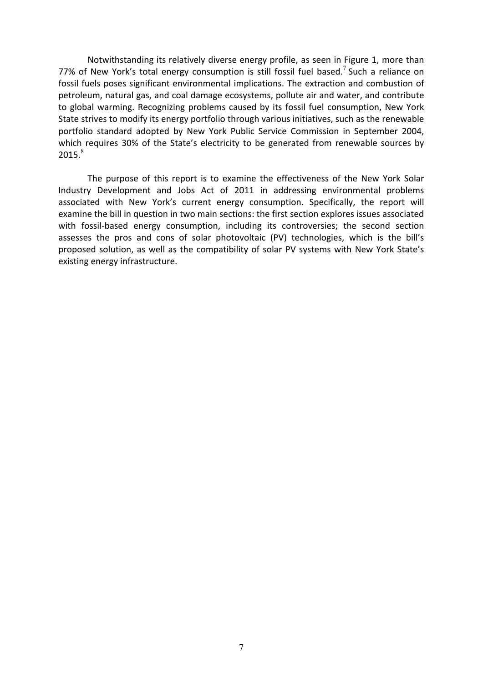Notwithstanding its relatively diverse energy profile, as seen in Figure 1, more than 77% of New York's total energy consumption is still fossil fuel based.<sup>7</sup> Such a reliance on fossil fuels poses significant environmental implications. The extraction and combustion of petroleum, natural gas, and coal damage ecosystems, pollute air and water, and contribute to global warming. Recognizing problems caused by its fossil fuel consumption, New York State strives to modify its energy portfolio through various initiatives, such as the renewable portfolio standard adopted by New York Public Service Commission in September 2004, which requires 30% of the State's electricity to be generated from renewable sources by  $2015.<sup>8</sup>$ 

The purpose of this report is to examine the effectiveness of the New York Solar Industry Development and Jobs Act of 2011 in addressing environmental problems associated with New York's current energy consumption. Specifically, the report will examine the bill in question in two main sections: the first section explores issues associated with fossil-based energy consumption, including its controversies; the second section assesses the pros and cons of solar photovoltaic (PV) technologies, which is the bill's proposed solution, as well as the compatibility of solar PV systems with New York State's existing energy infrastructure.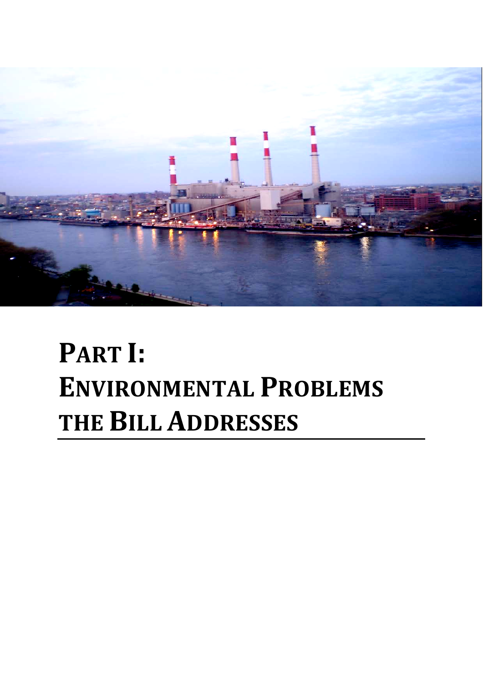

# PART I: **ENVIRONMENTAL PROBLEMS** THE BILL ADDRESSES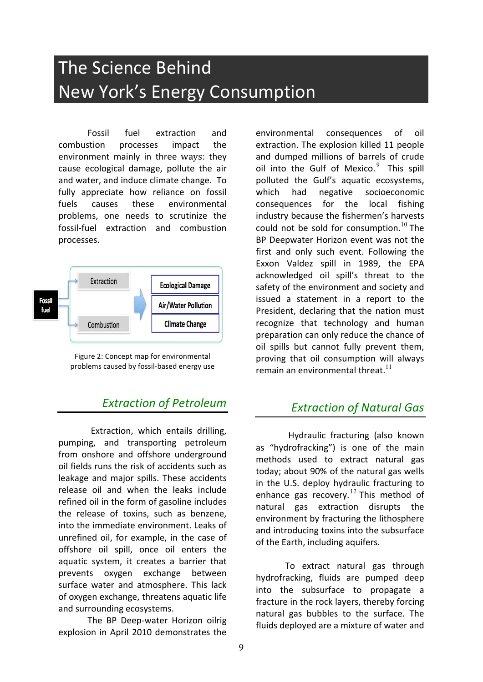# The Science Behind New York's Energy Consumption

Fossil fuel extraction and combustion processes impact the environment mainly in three ways: they cause ecological damage, pollute the air and water, and induce climate change. To fully appreciate how reliance on fossil fuels causes these environmental problems, one needs to scrutinize the fossil-fuel extraction and combustion processes.



Figure 2: Concept map for environmental problems caused by fossil-based energy use

### **Extraction of Petroleum**

Extraction, which entails drilling. pumping, and transporting petroleum from onshore and offshore underground oil fields runs the risk of accidents such as leakage and major spills. These accidents release oil and when the leaks include refined oil in the form of gasoline includes the release of toxins, such as benzene, into the immediate environment. Leaks of unrefined oil, for example, in the case of offshore oil spill, once oil enters the aquatic system, it creates a barrier that prevents oxygen exchange between surface water and atmosphere. This lack of oxygen exchange, threatens aquatic life and surrounding ecosystems.

The BP Deep-water Horizon oilrig explosion in April 2010 demonstrates the

environmental consequences of oil extraction. The explosion killed 11 people and dumped millions of barrels of crude oil into the Gulf of Mexico. $9$  This spill polluted the Gulf's aquatic ecosystems, which had negative socioeconomic consequences for the local fishing industry because the fishermen's harvests could not be sold for consumption.<sup>10</sup> The BP Deepwater Horizon event was not the first and only such event. Following the Exxon Valdez spill in 1989, the EPA acknowledged oil spill's threat to the safety of the environment and society and issued a statement in a report to the President, declaring that the nation must recognize that technology and human preparation can only reduce the chance of oil spills but cannot fully prevent them, proving that oil consumption will always remain an environmental threat. $^{11}$ 

## *Extraction of Natural Gas*

Hydraulic fracturing (also known as "hydrofracking") is one of the main methods used to extract natural gas today; about 90% of the natural gas wells in the U.S. deploy hydraulic fracturing to enhance gas recovery.<sup>12</sup> This method of natural gas extraction disrupts the environment by fracturing the lithosphere and introducing toxins into the subsurface of the Earth, including aquifers.

To extract natural gas through hydrofracking, fluids are pumped deep into the subsurface to propagate a fracture in the rock layers, thereby forcing natural gas bubbles to the surface. The fluids deployed are a mixture of water and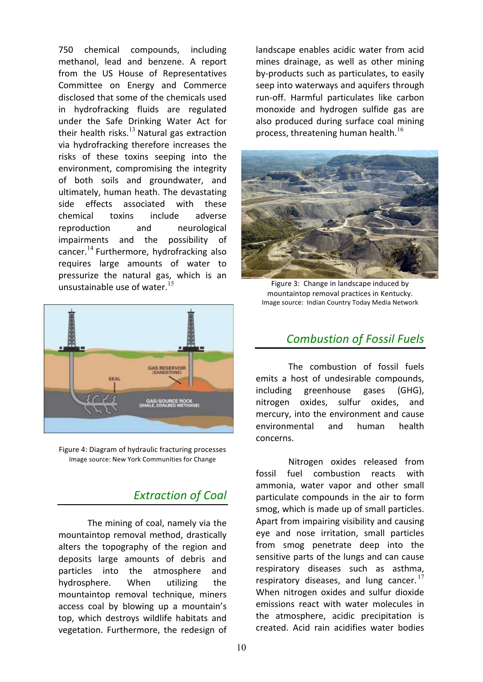750 chemical compounds, including methanol, lead and benzene. A report from the US House of Representatives Committee on Energy and Commerce disclosed that some of the chemicals used in hydrofracking fluids are regulated under the Safe Drinking Water Act for their health risks. $13$  Natural gas extraction via hydrofracking therefore increases the risks of these toxins seeping into the environment, compromising the integrity of both soils and groundwater, and ultimately, human heath. The devastating side effects associated with these chemical toxins include adverse reproduction and neurological impairments and the possibility of cancer.<sup>14</sup> Furthermore, hydrofracking also requires large amounts of water to pressurize the natural gas, which is an unsustainable use of water.<sup>15</sup>



Figure 4: Diagram of hydraulic fracturing processes Image source: New York Communities for Change

## **Extraction of Coal**

The mining of coal, namely via the mountaintop removal method, drastically alters the topography of the region and deposits large amounts of debris and particles into the atmosphere and hydrosphere. When utilizing the mountaintop removal technique, miners access coal by blowing up a mountain's top, which destroys wildlife habitats and vegetation. Furthermore, the redesign of

landscape enables acidic water from acid mines drainage, as well as other mining by-products such as particulates, to easily seep into waterways and aquifers through run-off. Harmful particulates like carbon monoxide and hydrogen sulfide gas are also produced during surface coal mining process, threatening human health.<sup>16</sup>



Figure 3: Change in landscape induced by mountaintop removal practices in Kentucky. Image source: Indian Country Today Media Network

#### **Combustion of Fossil Fuels**

The combustion of fossil fuels emits a host of undesirable compounds, including greenhouse gases (GHG), nitrogen oxides, sulfur oxides, and mercury, into the environment and cause environmental and human health concerns.

Nitrogen oxides released from fossil fuel combustion reacts with ammonia, water vapor and other small particulate compounds in the air to form smog, which is made up of small particles. Apart from impairing visibility and causing eye and nose irritation, small particles from smog penetrate deep into the sensitive parts of the lungs and can cause respiratory diseases such as asthma, respiratory diseases, and lung cancer.  $17$ When nitrogen oxides and sulfur dioxide emissions react with water molecules in the atmosphere, acidic precipitation is created.! Acid! rain! acidifies! water! bodies!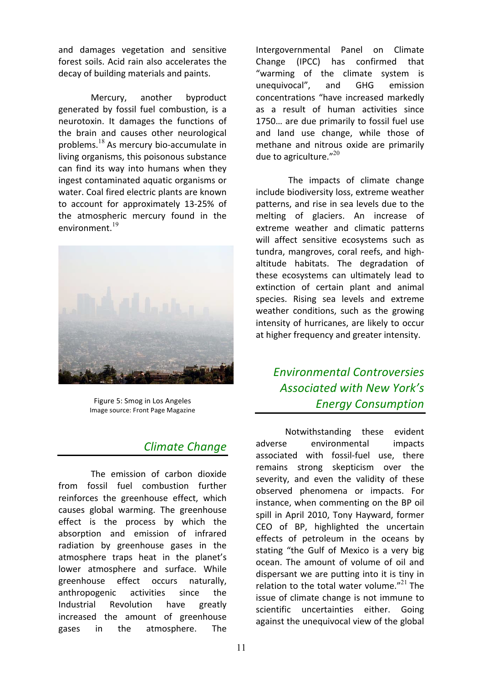and damages vegetation and sensitive forest soils. Acid rain also accelerates the decay of building materials and paints.

Mercury, another byproduct generated by fossil fuel combustion, is a neurotoxin. It damages the functions of the brain and causes other neurological problems. $^{18}$  As mercury bio-accumulate in living organisms, this poisonous substance can find its way into humans when they ingest contaminated aquatic organisms or water. Coal fired electric plants are known to account for approximately 13-25% of the atmospheric mercury found in the environment.<sup>19</sup>



Figure 5: Smog in Los Angeles Image source: Front Page Magazine

## **Climate Change**

The emission of carbon dioxide from fossil fuel combustion further reinforces the greenhouse effect, which causes global warming. The greenhouse effect is the process by which the absorption and emission of infrared radiation by greenhouse gases in the atmosphere traps heat in the planet's lower atmosphere and surface. While greenhouse effect occurs naturally, anthropogenic activities since the Industrial Revolution have greatly increased the amount of greenhouse gases in the atmosphere. The

Intergovernmental Panel on Climate Change (IPCC) has confirmed that "warming of the climate system is unequivocal", and GHG emission concentrations "have increased markedly as a result of human activities since 1750... are due primarily to fossil fuel use and land use change, while those of methane and nitrous oxide are primarily due to agriculture. $"^{20}$ 

The impacts of climate change include biodiversity loss, extreme weather patterns, and rise in sea levels due to the melting of glaciers. An increase of extreme weather and climatic patterns will affect sensitive ecosystems such as tundra, mangroves, coral reefs, and highaltitude habitats. The degradation of these ecosystems can ultimately lead to extinction of certain plant and animal species. Rising sea levels and extreme weather conditions, such as the growing intensity of hurricanes, are likely to occur at higher frequency and greater intensity.

*Environmental)Controversies)* Associated with New York's *Energy)Consumption*

Notwithstanding these evident adverse environmental impacts associated with fossil-fuel use, there remains strong skepticism over the severity, and even the validity of these observed phenomena or impacts. For instance, when commenting on the BP oil spill in April 2010, Tony Hayward, former CEO of BP, highlighted the uncertain effects of petroleum in the oceans by stating "the Gulf of Mexico is a very big ocean. The amount of volume of oil and dispersant we are putting into it is tiny in relation to the total water volume."<sup>21</sup> The issue of climate change is not immune to scientific uncertainties either. Going against the unequivocal view of the global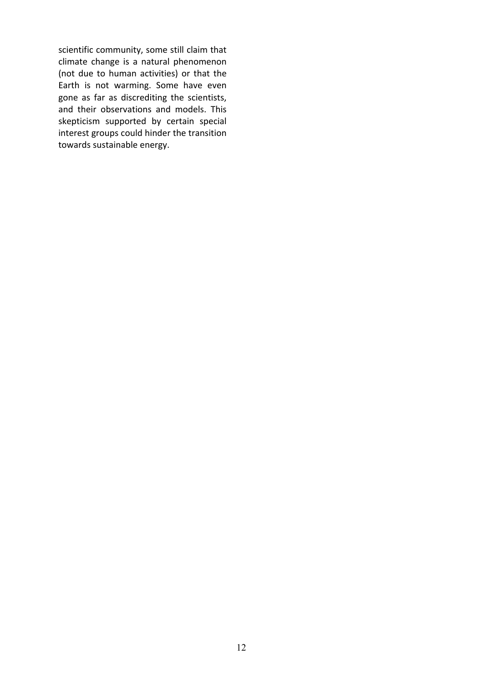scientific community, some still claim that climate change is a natural phenomenon (not due to human activities) or that the Earth is not warming. Some have even gone as far as discrediting the scientists, and their observations and models. This skepticism supported by certain special interest groups could hinder the transition towards sustainable energy.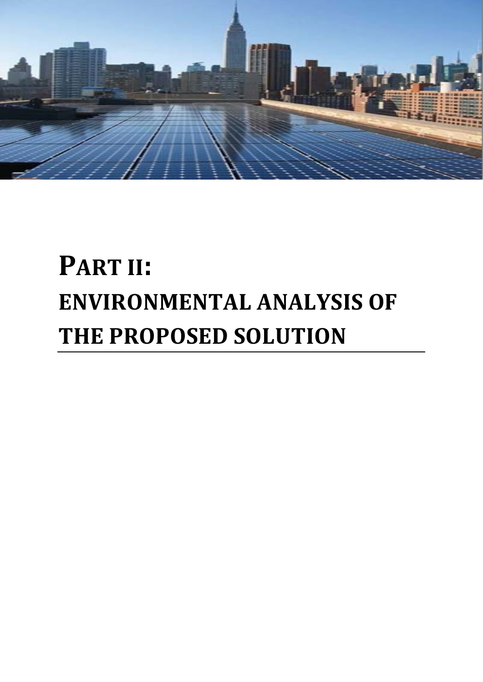

# PART II: **ENVIRONMENTAL ANALYSIS OF THE PROPOSED SOLUTION**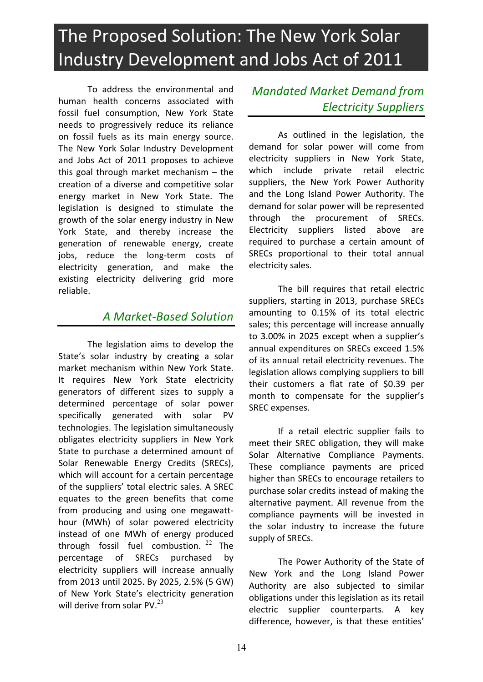# The Proposed Solution: The New York Solar Industry!Development!and!Jobs!Act!of!2011

To address the environmental and human health concerns associated with fossil fuel consumption, New York State needs to progressively reduce its reliance on fossil fuels as its main energy source. The New York Solar Industry Development and Jobs Act of 2011 proposes to achieve this goal through market mechanism  $-$  the creation of a diverse and competitive solar energy market in New York State. The legislation is designed to stimulate the growth of the solar energy industry in New York State, and thereby increase the generation of renewable energy, create jobs, reduce the long-term costs of electricity generation, and make the existing electricity delivering grid more reliable.

## A) Market-Based Solution

The legislation aims to develop the State's solar industry by creating a solar market mechanism within New York State. It requires New York State electricity generators of different sizes to supply a determined percentage of solar power specifically generated with solar PV technologies. The legislation simultaneously obligates electricity suppliers in New York State to purchase a determined amount of Solar Renewable Energy Credits (SRECs), which will account for a certain percentage of the suppliers' total electric sales. A SREC equates to the green benefits that come from producing and using one megawatthour (MWh) of solar powered electricity instead of one MWh of energy produced through fossil fuel combustion.  $22$  The percentage of SRECs purchased by electricity suppliers will increase annually from 2013 until 2025. By 2025, 2.5% (5 GW) of New York State's electricity generation will derive from solar PV. $^{23}$ 

## *Mandated Market Demand from Electricity)Suppliers*

As outlined in the legislation, the demand for solar power will come from electricity suppliers in New York State, which include private retail electric suppliers, the New York Power Authority and the Long Island Power Authority. The demand for solar power will be represented through the procurement of SRECs. Electricity suppliers listed above are required to purchase a certain amount of SRECs proportional to their total annual electricity sales.

The bill requires that retail electric suppliers, starting in 2013, purchase SRECs amounting to 0.15% of its total electric sales; this percentage will increase annually to 3.00% in 2025 except when a supplier's annual expenditures on SRECs exceed 1.5% of its annual retail electricity revenues. The legislation allows complying suppliers to bill their customers a flat rate of \$0.39 per month to compensate for the supplier's SREC expenses.

If a retail electric supplier fails to meet their SREC obligation, they will make Solar Alternative Compliance Payments. These compliance payments are priced higher than SRECs to encourage retailers to purchase solar credits instead of making the alternative payment. All revenue from the compliance payments will be invested in the solar industry to increase the future supply of SRECs.

The Power Authority of the State of New York and the Long Island Power Authority are also subjected to similar obligations under this legislation as its retail electric supplier counterparts. A key difference, however, is that these entities'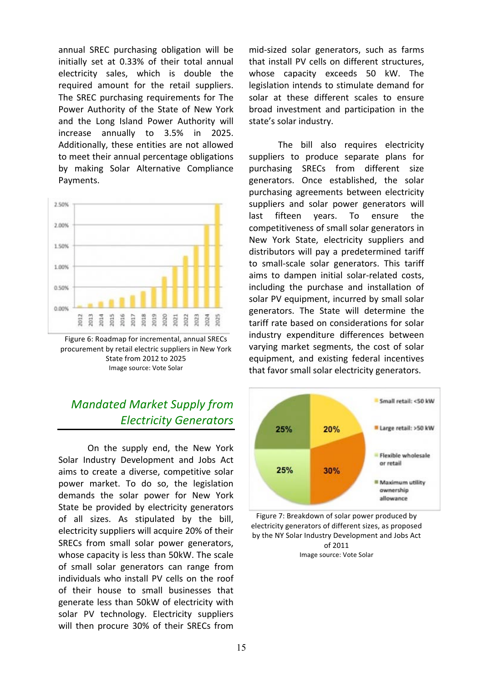annual SREC purchasing obligation will be initially set at 0.33% of their total annual electricity sales, which is double the required amount for the retail suppliers. The SREC purchasing requirements for The Power Authority of the State of New York and the Long Island Power Authority will increase annually to 3.5% in 2025. Additionally, these entities are not allowed to meet their annual percentage obligations by making Solar Alternative Compliance Payments.!



Figure 6: Roadmap for incremental, annual SRECs procurement by retail electric suppliers in New York State from 2012 to 2025 Image source: Vote Solar

## **Mandated Market Supply from** *Electricity)Generators*

On the supply end, the New York Solar Industry Development and Jobs Act aims to create a diverse, competitive solar power market. To do so, the legislation demands the solar power for New York State be provided by electricity generators of all sizes. As stipulated by the bill, electricity suppliers will acquire 20% of their SRECs from small solar power generators, whose capacity is less than 50kW. The scale of small solar generators can range from individuals who install PV cells on the roof of their house to small businesses that generate less than 50kW of electricity with solar PV technology. Electricity suppliers will then procure 30% of their SRECs from

mid-sized solar generators, such as farms that install PV cells on different structures, whose capacity exceeds 50 kW. The legislation intends to stimulate demand for solar at these different scales to ensure broad investment and participation in the state's solar industry.

The bill also requires electricity suppliers to produce separate plans for purchasing SRECs from different size generators. Once established, the solar purchasing agreements between electricity suppliers and solar power generators will last fifteen years. To ensure the competitiveness of small solar generators in New York State, electricity suppliers and distributors will pay a predetermined tariff to small-scale solar generators. This tariff aims to dampen initial solar-related costs, including the purchase and installation of solar PV equipment, incurred by small solar generators. The State will determine the tariff rate based on considerations for solar industry expenditure differences between varying market segments, the cost of solar equipment, and existing federal incentives that favor small solar electricity generators.



Figure 7: Breakdown of solar power produced by electricity generators of different sizes, as proposed by the NY Solar Industry Development and Jobs Act of!2011 Image source: Vote Solar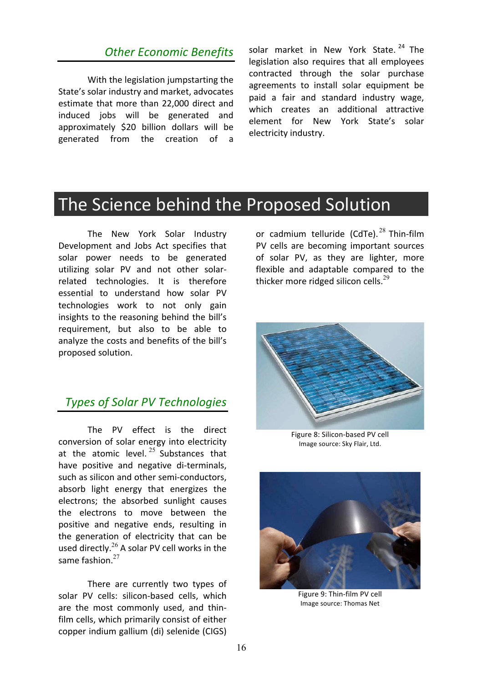#### **Other Economic Benefits**

With the legislation jumpstarting the State's solar industry and market, advocates estimate that more than 22,000 direct and induced jobs will be generated and approximately \$20 billion dollars will be generated from the creation of a solar market in New York State. <sup>24</sup> The legislation also requires that all employees contracted through the solar purchase agreements to install solar equipment be paid a fair and standard industry wage. which creates an additional attractive element for New York State's solar electricity industry.

## The Science behind the Proposed Solution

The New York Solar Industry Development and Jobs Act specifies that solar power needs to be generated utilizing solar PV and not other solarrelated technologies. It is therefore essential to understand how solar PV technologies work to not only gain insights to the reasoning behind the bill's requirement, but also to be able to analyze the costs and benefits of the bill's proposed solution.

### *Types)of)Solar)PV)Technologies*

The PV effect is the direct conversion of solar energy into electricity at the atomic level.  $25$  Substances that have positive and negative di-terminals, such as silicon and other semi-conductors, absorb light energy that energizes the electrons; the absorbed sunlight causes the electrons to move between the positive and negative ends, resulting in the generation of electricity that can be used directly. $^{26}$  A solar PV cell works in the same fashion. $27$ 

There are currently two types of solar PV cells: silicon-based cells, which are the most commonly used, and thinfilm cells, which primarily consist of either copper indium gallium (di) selenide (CIGS)

or cadmium telluride (CdTe). <sup>28</sup> Thin-film PV cells are becoming important sources of solar PV, as they are lighter, more flexible and adaptable compared to the thicker more ridged silicon cells.<sup>29</sup>



Figure 8: Silicon-based PV cell Image source: Sky Flair, Ltd.



Figure 9: Thin-film PV cell Image source: Thomas Net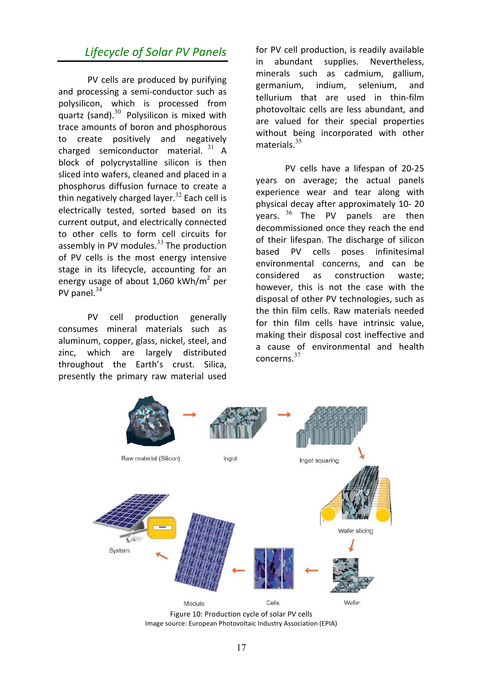## **Lifecycle of Solar PV Panels**

PV cells are produced by purifying and processing a semi-conductor such as polysilicon, which is processed from quartz (sand). $30$  Polysilicon is mixed with trace amounts of boron and phosphorous to create positively and negatively charged semiconductor material.  $31$  A block of polycrystalline silicon is then sliced into wafers, cleaned and placed in a phosphorus diffusion furnace to create a thin negatively charged layer. $32$  Each cell is electrically tested, sorted based on its current output, and electrically connected to other cells to form cell circuits for assembly in PV modules. $33$  The production of PV cells is the most energy intensive stage in its lifecycle, accounting for an energy usage of about 1,060 kWh/m<sup>2</sup> per PV panel. $34$ 

PV cell production generally consumes mineral materials such as aluminum, copper, glass, nickel, steel, and zinc, which are largely distributed throughout the Earth's crust. Silica, presently the primary raw material used

for PV cell production, is readily available in abundant supplies. Nevertheless, minerals such as cadmium, gallium, germanium, indium, selenium, and tellurium that are used in thin-film photovoltaic cells are less abundant, and are valued for their special properties without being incorporated with other materials. $35$ 

PV cells have a lifespan of 20-25 years on average; the actual panels experience wear and tear along with physical decay after approximately 10-20 years.  $36$  The PV panels are then decommissioned once they reach the end of their lifespan. The discharge of silicon based PV cells poses infinitesimal environmental concerns, and can be considered as construction waste: however, this is not the case with the disposal of other PV technologies, such as the thin film cells. Raw materials needed for thin film cells have intrinsic value, making their disposal cost ineffective and a cause of environmental and health concerns.<sup>37</sup>

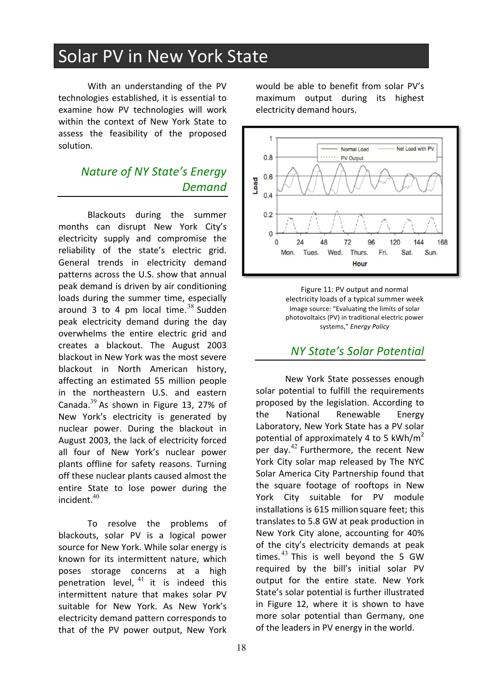# Solar PV in New York State

With an understanding of the PV technologies established, it is essential to examine how PV technologies will work within the context of New York State to assess the feasibility of the proposed solution.

## *Nature of NY State's Energy Demand*

Blackouts during the summer months can disrupt New York City's electricity supply and compromise the reliability of the state's electric grid. General trends in electricity demand patterns across the U.S. show that annual peak demand is driven by air conditioning loads during the summer time, especially around 3 to 4 pm local time. $^{38}$  Sudden peak electricity demand during the day overwhelms the entire electric grid and creates a blackout. The August 2003 blackout in New York was the most severe blackout in North American history, affecting an estimated 55 million people in the northeastern U.S. and eastern Canada. $^{39}$  As shown in Figure 13, 27% of New York's electricity is generated by nuclear power. During the blackout in August 2003, the lack of electricity forced all four of New York's nuclear power plants offline for safety reasons. Turning off these nuclear plants caused almost the entire State to lose power during the incident. 40

To resolve the problems of blackouts, solar PV is a logical power source for New York. While solar energy is known for its intermittent nature, which poses storage concerns at a high penetration  $\overline{e}$  level,  $41$  it is indeed this intermittent nature that makes solar PV suitable for New York. As New York's electricity demand pattern corresponds to that of the PV power output, New York would be able to benefit from solar PV's maximum output during its highest electricity demand hours.



Figure 11: PV output and normal electricity loads of a typical summer week Image source: "Evaluating the limits of solar photovoltaics (PV) in traditional electric power systems," **Energy Policy** 

### *NY)State's)Solar)Potential*

New York State possesses enough solar potential to fulfill the requirements proposed by the legislation. According to the National Renewable Energy Laboratory, New York State has a PV solar potential of approximately 4 to 5  $kWh/m^2$ per day. $42$  Furthermore, the recent New York City solar map released by The NYC Solar America City Partnership found that the square footage of rooftops in New York City suitable for PV module installations is 615 million square feet; this translates to 5.8 GW at peak production in New York City alone, accounting for 40% of the city's electricity demands at peak times.  $43$  This is well beyond the 5 GW required by the bill's initial solar PV output for the entire state. New York State's solar potential is further illustrated in Figure 12, where it is shown to have more solar potential than Germany, one of the leaders in PV energy in the world.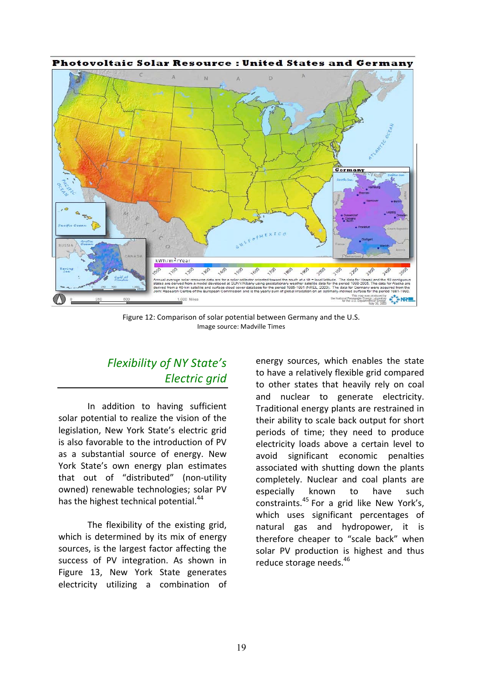

Figure 12: Comparison of solar potential between Germany and the U.S. Image source: Madville Times

## *Flexibility)of)NY)State's Electric arid*

In addition to having sufficient solar potential to realize the vision of the legislation, New York State's electric grid is also favorable to the introduction of PV as a substantial source of energy. New York State's own energy plan estimates that out of "distributed" (non-utility owned) renewable technologies; solar PV has the highest technical potential.<sup>44</sup>

The flexibility of the existing grid, which is determined by its mix of energy sources, is the largest factor affecting the success of PV integration. As shown in Figure 13, New York State generates electricity utilizing a combination of

energy sources, which enables the state to have a relatively flexible grid compared to other states that heavily rely on coal and nuclear to generate electricity. Traditional energy plants are restrained in their ability to scale back output for short periods of time; they need to produce electricity loads above a certain level to avoid significant economic penalties associated with shutting down the plants completely. Nuclear and coal plants are especially known to have such constraints. $45$  For a grid like New York's, which uses significant percentages of natural gas and hydropower, it is therefore cheaper to "scale back" when solar PV production is highest and thus reduce storage needs.<sup>46</sup>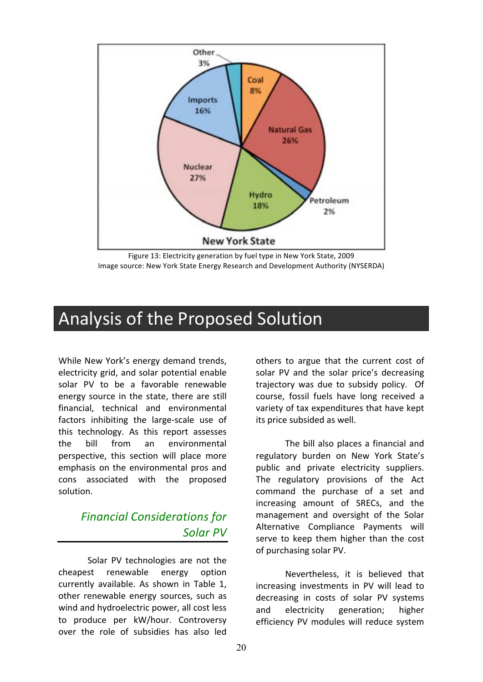

Figure 13: Electricity generation by fuel type in New York State, 2009 Image source: New York State Energy Research and Development Authority (NYSERDA)

## Analysis of the Proposed Solution

While New York's energy demand trends, electricity grid, and solar potential enable solar PV to be a favorable renewable energy source in the state, there are still financial, technical and environmental factors inhibiting the large-scale use of this technology. As this report assesses the bill from an environmental perspective, this section will place more emphasis on the environmental pros and cons associated with the proposed solution.

## **Financial Considerations for** Solar PV

Solar PV technologies are not the cheapest renewable energy option currently available. As shown in Table 1, other renewable energy sources, such as wind and hydroelectric power, all cost less to produce per kW/hour. Controversy over the role of subsidies has also led

others to argue that the current cost of solar PV and the solar price's decreasing trajectory was due to subsidy policy. Of course, fossil fuels have long received a variety of tax expenditures that have kept its price subsided as well.

The bill also places a financial and regulatory burden on New York State's public and private electricity suppliers. The regulatory provisions of the Act command the purchase of a set and increasing amount of SRECs, and the management and oversight of the Solar Alternative Compliance Payments will serve to keep them higher than the cost of purchasing solar PV.

Nevertheless, it is believed that increasing investments in PV will lead to decreasing in costs of solar PV systems and electricity generation; higher efficiency PV modules will reduce system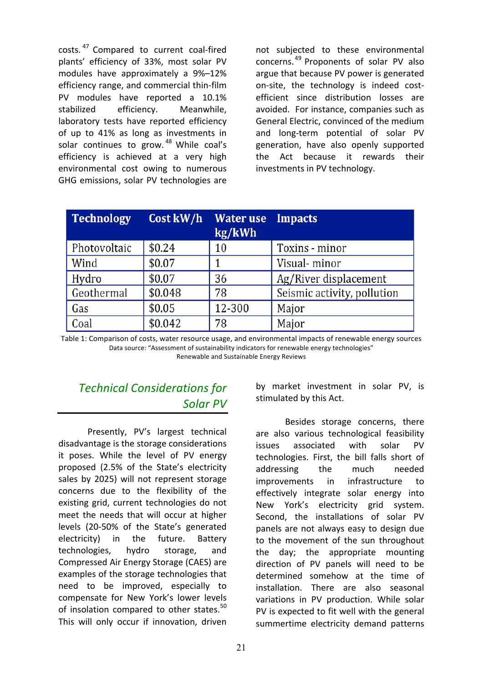costs.<sup>47</sup> Compared to current coal-fired plants' efficiency of 33%, most solar PV modules have approximately a 9%–12% efficiency range, and commercial thin-film PV modules have reported a 10.1% stabilized efficiency. Meanwhile, laboratory tests have reported efficiency of up to 41% as long as investments in solar continues to grow. <sup>48</sup> While coal's efficiency is achieved at a very high environmental cost owing to numerous GHG emissions, solar PV technologies are

not subjected to these environmental concerns.<sup>49</sup> Proponents of solar PV also argue that because PV power is generated on-site, the technology is indeed costefficient since distribution losses are avoided. For instance, companies such as General Electric, convinced of the medium and long-term potential of solar PV generation, have also openly supported the Act because it rewards their investments in PV technology.

| <b>Technology</b> | Cost kW/h | <b>Water use Impacts</b><br>kg/kWh |                             |
|-------------------|-----------|------------------------------------|-----------------------------|
| Photovoltaic      | \$0.24    | 10                                 | Toxins - minor              |
| <b>Wind</b>       | \$0.07    |                                    | Visual-minor                |
| Hydro             | \$0.07    | 36                                 | Ag/River displacement       |
| Geothermal        | \$0.048   | 78                                 | Seismic activity, pollution |
| Gas               | \$0.05    | 12-300                             | Major                       |
| Coal              | \$0.042   | 78                                 | Major                       |

Table 1: Comparison of costs, water resource usage, and environmental impacts of renewable energy sources Data source: "Assessment of sustainability indicators for renewable energy technologies" Renewable and Sustainable Energy Reviews

## **Technical Considerations for** *Solar)PV*

Presently, PV's largest technical disadvantage is the storage considerations it poses. While the level of PV energy proposed (2.5% of the State's electricity sales by 2025) will not represent storage concerns due to the flexibility of the existing grid, current technologies do not meet the needs that will occur at higher levels (20-50% of the State's generated electricity) in the future. Battery technologies, hydro storage, and Compressed Air Energy Storage (CAES) are examples of the storage technologies that need to be improved, especially to compensate for New York's lower levels of insolation compared to other states. $50$ This will only occur if innovation, driven

by market investment in solar PV, is stimulated by this Act.

Besides storage concerns, there are also various technological feasibility issues associated with solar PV technologies. First, the bill falls short of addressing the much needed improvements in infrastructure to effectively integrate solar energy into New York's electricity grid system. Second, the installations of solar PV panels are not always easy to design due to the movement of the sun throughout the day; the appropriate mounting direction of PV panels will need to be determined somehow at the time of installation. There are also seasonal variations in PV production. While solar PV is expected to fit well with the general summertime electricity demand patterns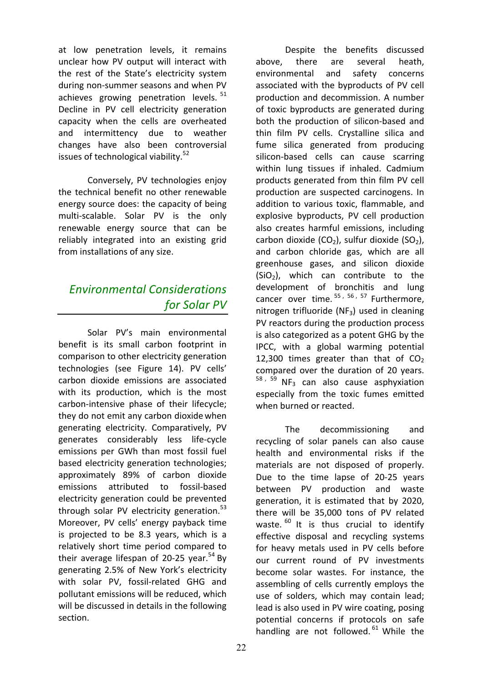at low penetration levels, it remains unclear how PV output will interact with the rest of the State's electricity system during non-summer seasons and when PV achieves growing penetration levels.  $51$ Decline in PV cell electricity generation capacity when the cells are overheated and intermittency due to weather changes have also been controversial issues of technological viability.<sup>52</sup>

Conversely, PV technologies enjoy the technical benefit no other renewable energy source does: the capacity of being multi-scalable. Solar PV is the only renewable energy source that can be reliably integrated into an existing grid from installations of any size.

## *Environmental)Considerations)* for Solar PV

Solar PV's main environmental benefit is its small carbon footprint in comparison to other electricity generation technologies (see Figure 14). PV cells' carbon dioxide emissions are associated with its production, which is the most carbon-intensive phase of their lifecycle: they do not emit any carbon dioxide when generating electricity. Comparatively, PV generates considerably less life-cycle emissions per GWh than most fossil fuel based electricity generation technologies; approximately 89% of carbon dioxide emissions attributed to fossil-based electricity generation could be prevented through solar PV electricity generation. $53$ Moreover, PV cells' energy payback time is projected to be 8.3 years, which is a relatively short time period compared to their average lifespan of 20-25 year.<sup>54</sup> By generating 2.5% of New York's electricity with solar PV, fossil-related GHG and pollutant emissions will be reduced, which will be discussed in details in the following section.

Despite the benefits discussed above, there are several heath, environmental and safety concerns associated with the byproducts of PV cell production and decommission. A number of toxic byproducts are generated during both the production of silicon-based and thin film PV cells. Crystalline silica and fume silica generated from producing silicon-based cells can cause scarring within lung tissues if inhaled. Cadmium products generated from thin film PV cell production are suspected carcinogens. In addition to various toxic, flammable, and explosive byproducts, PV cell production also creates harmful emissions, including carbon dioxide (CO<sub>2</sub>), sulfur dioxide (SO<sub>2</sub>), and carbon chloride gas, which are all greenhouse gases, and silicon dioxide  $(SiO<sub>2</sub>)$ , which can contribute to the development of bronchitis and lung cancer over time.  $55, 56, 57$  Furthermore, nitrogen trifluoride (NF<sub>3</sub>) used in cleaning PV reactors during the production process is also categorized as a potent GHG by the IPCC, with a global warming potential 12,300 times greater than that of  $CO<sub>2</sub>$ compared over the duration of 20 years.  $58, 59$  NF<sub>3</sub> can also cause asphyxiation especially from the toxic fumes emitted when burned or reacted.

The decommissioning and recycling of solar panels can also cause health and environmental risks if the materials are not disposed of properly. Due to the time lapse of 20-25 years between PV production and waste generation, it is estimated that by 2020, there will be 35,000 tons of PV related waste.  $60$  It is thus crucial to identify effective disposal and recycling systems for heavy metals used in PV cells before our current round of PV investments become solar wastes. For instance, the assembling of cells currently employs the use of solders, which may contain lead; lead is also used in PV wire coating, posing potential concerns if protocols on safe handling are not followed.  $61$  While the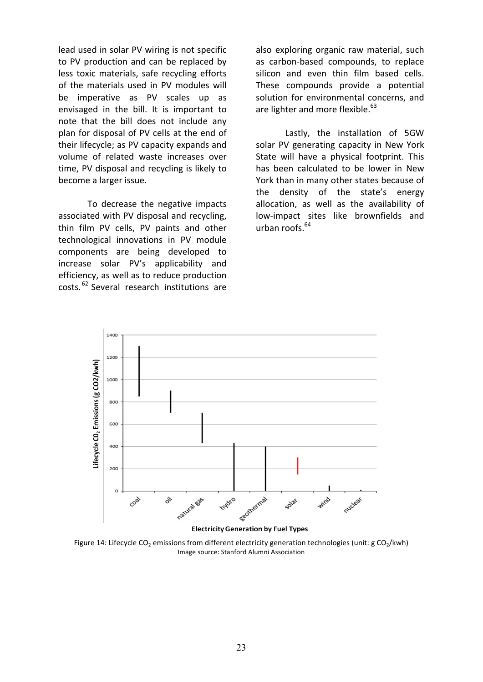lead used in solar PV wiring is not specific to PV production and can be replaced by less toxic materials, safe recycling efforts of the materials used in PV modules will be imperative as PV scales up as envisaged in the bill. It is important to note that the bill does not include any plan for disposal of PV cells at the end of their lifecycle; as PV capacity expands and volume of related waste increases over time, PV disposal and recycling is likely to become a larger issue.

To decrease the negative impacts associated with PV disposal and recycling, thin film PV cells, PV paints and other technological innovations in PV module components are being developed to increase solar PV's applicability and efficiency, as well as to reduce production costs.<sup>62</sup> Several research institutions are

also exploring organic raw material, such as carbon-based compounds, to replace silicon and even thin film based cells. These compounds provide a potential solution for environmental concerns, and are lighter and more flexible.<sup>63</sup>

Lastly, the installation of 5GW solar PV generating capacity in New York State will have a physical footprint. This has been calculated to be lower in New York than in many other states because of the density of the state's energy allocation, as well as the availability of low-impact sites like brownfields and urban  $roots.<sup>64</sup>$ 



**Electricity Generation by Fuel Types** 

Figure 14: Lifecycle CO<sub>2</sub> emissions from different electricity generation technologies (unit: g CO<sub>2</sub>/kwh) Image source: Stanford Alumni Association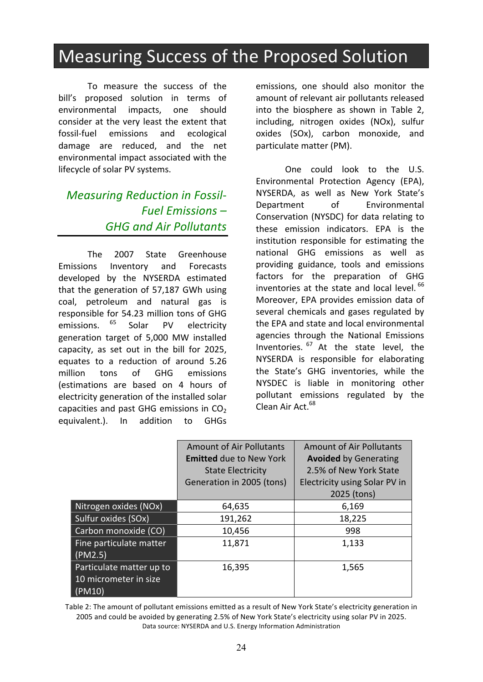# Measuring Success of the Proposed Solution

To measure the success of the bill's proposed solution in terms of environmental impacts, one should consider at the very least the extent that fossil-fuel emissions and ecological damage are reduced, and the net environmental impact associated with the lifecycle of solar PV systems.

## *Measuring Reduction in Fossil-Fuel)Emissions)– GHG)and)Air)Pollutants*

The 2007 State Greenhouse Emissions Inventory and Forecasts developed by the NYSERDA estimated that the generation of 57,187 GWh using coal, petroleum and natural gas is responsible for 54.23 million tons of GHG emissions.  $^{65}$  Solar PV electricity generation target of 5,000 MW installed capacity, as set out in the bill for 2025, equates to a reduction of around 5.26 million tons of GHG emissions (estimations are based on 4 hours of electricity generation of the installed solar capacities and past GHG emissions in  $CO<sub>2</sub>$ equivalent.). In addition to GHGs

emissions, one should also monitor the amount of relevant air pollutants released into the biosphere as shown in Table 2, including, nitrogen oxides (NOx), sulfur oxides (SOx), carbon monoxide, and particulate matter (PM).

One could look to the U.S. Environmental Protection Agency (EPA), NYSERDA, as well as New York State's Department of Environmental Conservation (NYSDC) for data relating to these emission indicators. EPA is the institution responsible for estimating the national GHG emissions as well as providing guidance, tools and emissions factors for the preparation of GHG inventories at the state and local level. 66 Moreover, EPA provides emission data of several chemicals and gases regulated by the EPA and state and local environmental agencies through the National Emissions Inventories.  $67$  At the state level, the NYSERDA is responsible for elaborating the State's GHG inventories, while the NYSDEC is liable in monitoring other pollutant emissions regulated by the Clean Air Act.<sup>68</sup>

|                          | <b>Amount of Air Pollutants</b> | <b>Amount of Air Pollutants</b> |
|--------------------------|---------------------------------|---------------------------------|
|                          | <b>Emitted due to New York</b>  | <b>Avoided by Generating</b>    |
|                          | <b>State Electricity</b>        | 2.5% of New York State          |
|                          | Generation in 2005 (tons)       | Electricity using Solar PV in   |
|                          |                                 | 2025 (tons)                     |
| Nitrogen oxides (NOx)    | 64,635                          | 6,169                           |
| Sulfur oxides (SOx)      | 191,262                         | 18,225                          |
| Carbon monoxide (CO)     | 10,456                          | 998                             |
| Fine particulate matter  | 11,871                          | 1,133                           |
| (PM2.5)                  |                                 |                                 |
| Particulate matter up to | 16,395                          | 1,565                           |
| 10 micrometer in size    |                                 |                                 |
| (PM10)                   |                                 |                                 |

Table 2: The amount of pollutant emissions emitted as a result of New York State's electricity generation in 2005 and could be avoided by generating 2.5% of New York State's electricity using solar PV in 2025. Data source: NYSERDA and U.S. Energy Information Administration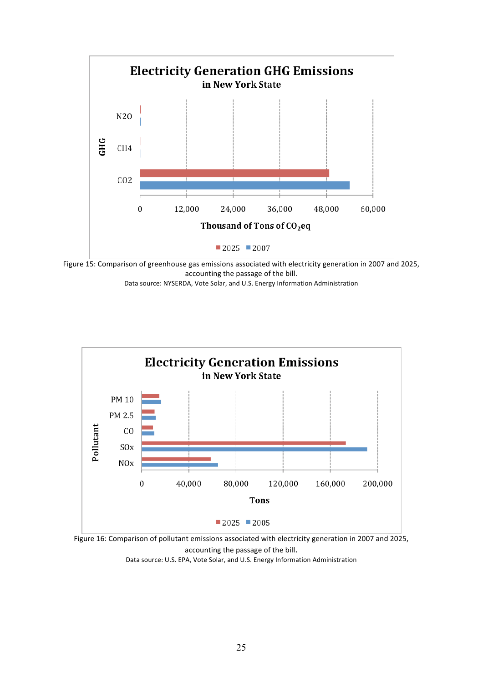

Figure 15: Comparison of greenhouse gas emissions associated with electricity generation in 2007 and 2025, accounting the passage of the bill.

Data source: NYSERDA, Vote Solar, and U.S. Energy Information Administration



Figure 16: Comparison of pollutant emissions associated with electricity generation in 2007 and 2025, accounting the passage of the bill. Data source: U.S. EPA, Vote Solar, and U.S. Energy Information Administration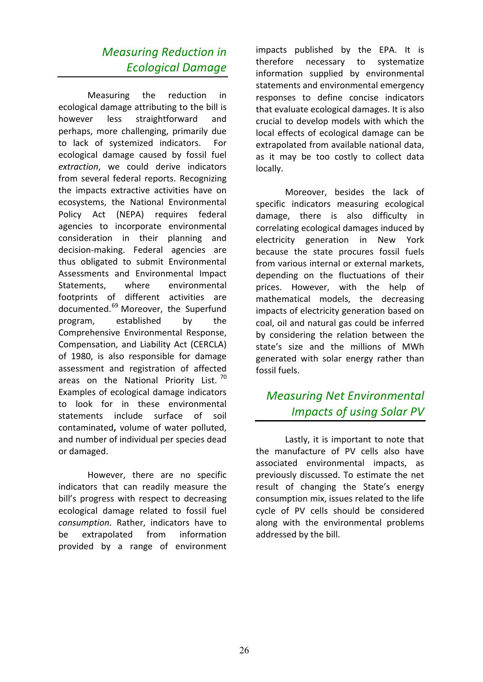## **Measuring Reduction in** *Ecological)Damage*

Measuring the reduction in ecological damage attributing to the bill is however less straightforward and perhaps, more challenging, primarily due to lack of systemized indicators. For ecological damage caused by fossil fuel extraction, we could derive indicators from several federal reports. Recognizing the impacts extractive activities have on ecosystems, the National Environmental Policy Act (NEPA) requires federal agencies to incorporate environmental consideration in their planning and decision-making. Federal agencies are thus obligated to submit Environmental Assessments and Environmental Impact Statements, where environmental footprints of different activities are documented.<sup>69</sup> Moreover, the Superfund program, established by the Comprehensive Environmental Response, Compensation, and Liability Act (CERCLA) of 1980, is also responsible for damage assessment and registration of affected areas on the National Priority List.  $70$ Examples of ecological damage indicators to look for in these environmental statements include surface of soil contaminated, volume of water polluted. and number of individual per species dead or damaged.

However, there are no specific indicators that can readily measure the bill's progress with respect to decreasing ecological damage related to fossil fuel *consumption*. Rather, indicators have to be extrapolated from information provided by a range of environment impacts published by the EPA. It is therefore necessary to systematize information supplied by environmental statements and environmental emergency responses to define concise indicators that evaluate ecological damages. It is also crucial to develop models with which the local effects of ecological damage can be extrapolated from available national data, as it may be too costly to collect data locally.

Moreover, besides the lack of specific indicators measuring ecological damage, there is also difficulty in correlating ecological damages induced by electricity generation in New York because the state procures fossil fuels from various internal or external markets, depending on the fluctuations of their prices. However, with the help of mathematical models, the decreasing impacts of electricity generation based on coal, oil and natural gas could be inferred by considering the relation between the state's size and the millions of MWh generated with solar energy rather than fossil fuels.

## **Measuring Net Environmental** *Impacts of using Solar PV*

Lastly, it is important to note that the manufacture of PV cells also have associated environmental impacts. as previously discussed. To estimate the net result of changing the State's energy consumption mix, issues related to the life cycle of PV cells should be considered along with the environmental problems addressed by the bill.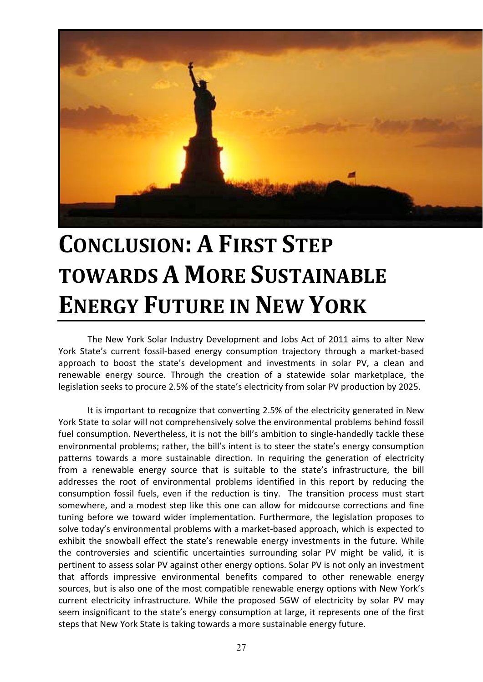

# **CONCLUSION: A FIRST STEP TOWARDS A MORE SUSTAINABLE ENERGY FUTURE IN NEW YORK**

The New York Solar Industry Development and Jobs Act of 2011 aims to alter New York State's current fossil-based energy consumption trajectory through a market-based approach to boost the state's development and investments in solar PV, a clean and renewable energy source. Through the creation of a statewide solar marketplace, the legislation seeks to procure 2.5% of the state's electricity from solar PV production by 2025.

It is important to recognize that converting 2.5% of the electricity generated in New York State to solar will not comprehensively solve the environmental problems behind fossil fuel consumption. Nevertheless, it is not the bill's ambition to single-handedly tackle these environmental problems; rather, the bill's intent is to steer the state's energy consumption patterns towards a more sustainable direction. In requiring the generation of electricity from a renewable energy source that is suitable to the state's infrastructure, the bill addresses the root of environmental problems identified in this report by reducing the consumption fossil fuels, even if the reduction is tiny. The transition process must start somewhere, and a modest step like this one can allow for midcourse corrections and fine tuning before we toward wider implementation. Furthermore, the legislation proposes to solve today's environmental problems with a market-based approach, which is expected to exhibit the snowball effect the state's renewable energy investments in the future. While the controversies and scientific uncertainties surrounding solar PV might be valid, it is pertinent to assess solar PV against other energy options. Solar PV is not only an investment that affords impressive environmental benefits compared to other renewable energy sources, but is also one of the most compatible renewable energy options with New York's current electricity infrastructure. While the proposed 5GW of electricity by solar PV may seem insignificant to the state's energy consumption at large, it represents one of the first steps that New York State is taking towards a more sustainable energy future.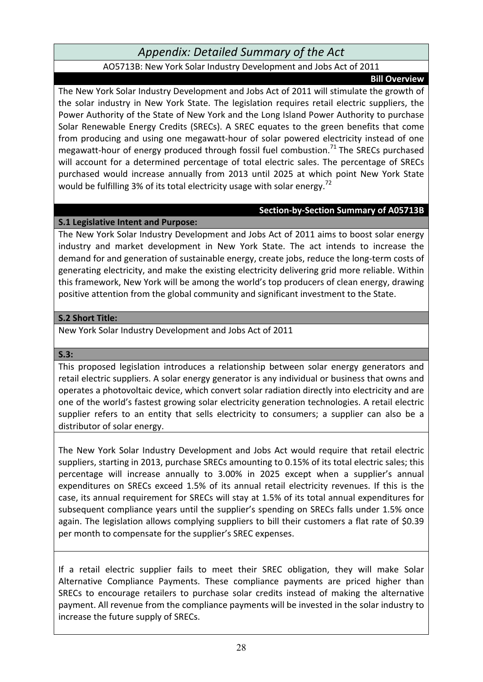## Appendix: Detailed Summary of the Act

#### AO5713B: New York Solar Industry Development and Jobs Act of 2011

#### **Bill Overview**

The New York Solar Industry Development and Jobs Act of 2011 will stimulate the growth of the solar industry in New York State. The legislation requires retail electric suppliers, the Power Authority of the State of New York and the Long Island Power Authority to purchase Solar Renewable Energy Credits (SRECs). A SREC equates to the green benefits that come from producing and using one megawatt-hour of solar powered electricity instead of one megawatt-hour of energy produced through fossil fuel combustion.<sup>71</sup> The SRECs purchased will account for a determined percentage of total electric sales. The percentage of SRECs purchased would increase annually from 2013 until 2025 at which point New York State would be fulfilling 3% of its total electricity usage with solar energy.<sup>72</sup>

#### **Section-by-Section Summary of A05713B**

#### **S.1 Legislative Intent and Purpose:**

The New York Solar Industry Development and Jobs Act of 2011 aims to boost solar energy industry and market development in New York State. The act intends to increase the demand for and generation of sustainable energy, create jobs, reduce the long-term costs of generating electricity, and make the existing electricity delivering grid more reliable. Within this framework, New York will be among the world's top producers of clean energy, drawing positive attention from the global community and significant investment to the State.

#### **S.2 Short Title:**

New York Solar Industry Development and Jobs Act of 2011

#### **S.3:(**

This proposed legislation introduces a relationship between solar energy generators and retail electric suppliers. A solar energy generator is any individual or business that owns and operates a photovoltaic device, which convert solar radiation directly into electricity and are one of the world's fastest growing solar electricity generation technologies. A retail electric supplier refers to an entity that sells electricity to consumers; a supplier can also be a distributor of solar energy.

The New York Solar Industry Development and Jobs Act would require that retail electric suppliers, starting in 2013, purchase SRECs amounting to 0.15% of its total electric sales; this percentage will increase annually to 3.00% in 2025 except when a supplier's annual expenditures on SRECs exceed 1.5% of its annual retail electricity revenues. If this is the case, its annual requirement for SRECs will stay at 1.5% of its total annual expenditures for subsequent compliance years until the supplier's spending on SRECs falls under 1.5% once again. The legislation allows complying suppliers to bill their customers a flat rate of \$0.39 per month to compensate for the supplier's SREC expenses.

If a retail electric supplier fails to meet their SREC obligation, they will make Solar Alternative Compliance Payments. These compliance payments are priced higher than SRECs to encourage retailers to purchase solar credits instead of making the alternative payment. All revenue from the compliance payments will be invested in the solar industry to increase the future supply of SRECs.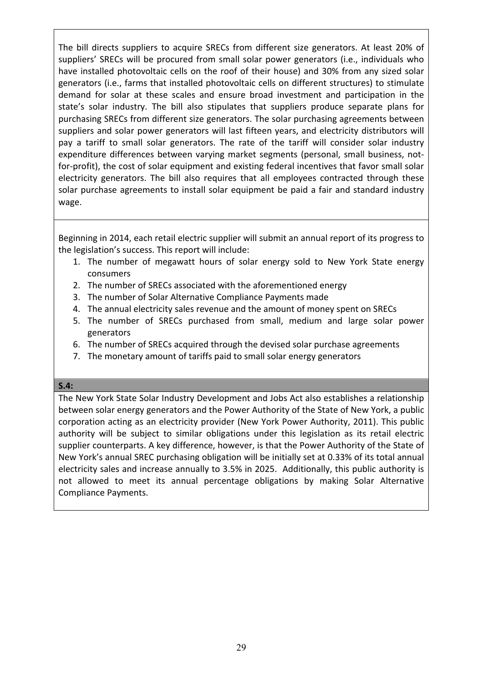The bill directs suppliers to acquire SRECs from different size generators. At least 20% of suppliers' SRECs will be procured from small solar power generators (i.e., individuals who have installed photovoltaic cells on the roof of their house) and 30% from any sized solar generators (i.e., farms that installed photovoltaic cells on different structures) to stimulate demand for solar at these scales and ensure broad investment and participation in the state's solar industry. The bill also stipulates that suppliers produce separate plans for purchasing SRECs from different size generators. The solar purchasing agreements between suppliers and solar power generators will last fifteen years, and electricity distributors will pay a tariff to small solar generators. The rate of the tariff will consider solar industry expenditure differences between varying market segments (personal, small business, notfor-profit), the cost of solar equipment and existing federal incentives that favor small solar electricity generators. The bill also requires that all employees contracted through these solar purchase agreements to install solar equipment be paid a fair and standard industry wage.

Beginning in 2014, each retail electric supplier will submit an annual report of its progress to the legislation's success. This report will include:

- 1. The number of megawatt hours of solar energy sold to New York State energy consumers
- 2. The number of SRECs associated with the aforementioned energy
- 3. The number of Solar Alternative Compliance Payments made
- 4. The annual electricity sales revenue and the amount of money spent on SRECs
- 5. The number of SRECs purchased from small, medium and large solar power generators!
- 6. The number of SRECs acquired through the devised solar purchase agreements
- 7. The monetary amount of tariffs paid to small solar energy generators

#### **S.4:(**

The New York State Solar Industry Development and Jobs Act also establishes a relationship between solar energy generators and the Power Authority of the State of New York, a public corporation acting as an electricity provider (New York Power Authority, 2011). This public authority will be subject to similar obligations under this legislation as its retail electric supplier counterparts. A key difference, however, is that the Power Authority of the State of New York's annual SREC purchasing obligation will be initially set at 0.33% of its total annual electricity sales and increase annually to 3.5% in 2025. Additionally, this public authority is not allowed to meet its annual percentage obligations by making Solar Alternative Compliance Payments.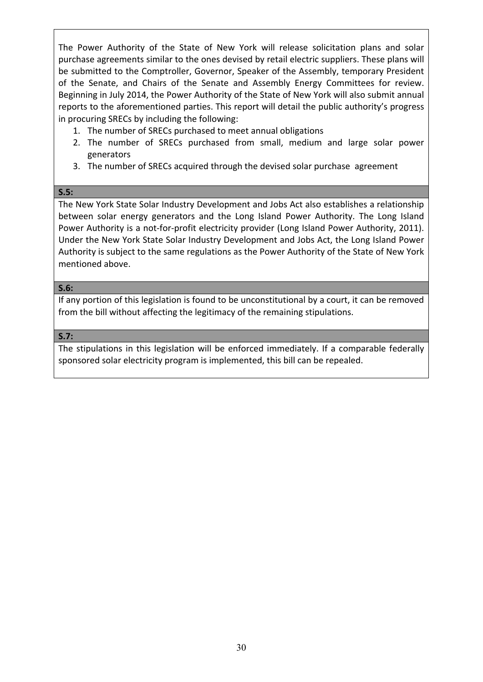The Power Authority of the State of New York will release solicitation plans and solar purchase agreements similar to the ones devised by retail electric suppliers. These plans will be submitted to the Comptroller, Governor, Speaker of the Assembly, temporary President of the Senate, and Chairs of the Senate and Assembly Energy Committees for review. Beginning in July 2014, the Power Authority of the State of New York will also submit annual reports to the aforementioned parties. This report will detail the public authority's progress in procuring SRECs by including the following:

- 1. The number of SRECs purchased to meet annual obligations
- 2. The number of SRECs purchased from small, medium and large solar power generators
- 3. The number of SRECs acquired through the devised solar purchase agreement

#### **S.5:((**

The New York State Solar Industry Development and Jobs Act also establishes a relationship between solar energy generators and the Long Island Power Authority. The Long Island Power Authority is a not-for-profit electricity provider (Long Island Power Authority, 2011). Under the New York State Solar Industry Development and Jobs Act, the Long Island Power Authority is subject to the same regulations as the Power Authority of the State of New York mentioned above.

#### **S.6:(**

If any portion of this legislation is found to be unconstitutional by a court, it can be removed from the bill without affecting the legitimacy of the remaining stipulations.

#### **S.7:**

The stipulations in this legislation will be enforced immediately. If a comparable federally sponsored solar electricity program is implemented, this bill can be repealed.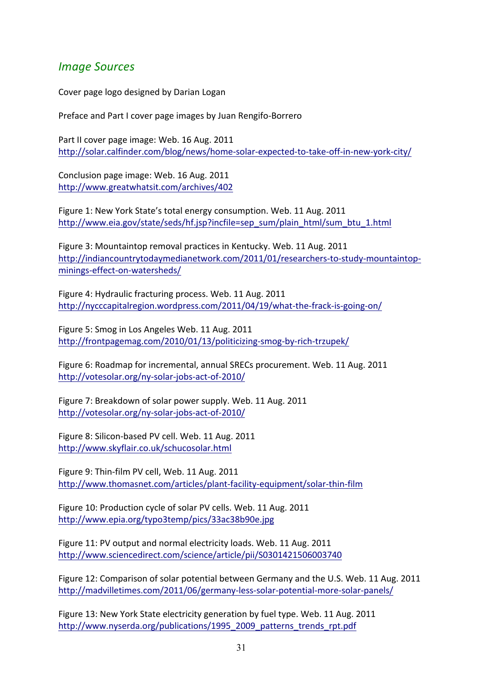## **Image Sources**

Cover page logo designed by Darian Logan

Preface and Part I cover page images by Juan Rengifo-Borrero

Part II cover page image: Web. 16 Aug. 2011 http://solar.calfinder.com/blog/news/home-solar-expected-to-take-off-in-new-york-city/

Conclusion page image: Web. 16 Aug. 2011 http://www.greatwhatsit.com/archives/402

Figure 1: New York State's total energy consumption. Web. 11 Aug. 2011 http://www.eia.gov/state/seds/hf.jsp?incfile=sep\_sum/plain\_html/sum\_btu\_1.html

Figure 3: Mountaintop removal practices in Kentucky. Web. 11 Aug. 2011 http://indiancountrytodaymedianetwork.com/2011/01/researchers-to-study-mountaintopminings-effect-on-watersheds/

Figure 4: Hydraulic fracturing process. Web. 11 Aug. 2011 http://nycccapitalregion.wordpress.com/2011/04/19/what-the-frack-is-going-on/

Figure 5: Smog in Los Angeles Web. 11 Aug. 2011 http://frontpagemag.com/2010/01/13/politicizing-smog-by-rich-trzupek/

Figure 6: Roadmap for incremental, annual SRECs procurement. Web. 11 Aug. 2011 http://votesolar.org/ny-solar-jobs-act-of-2010/

Figure 7: Breakdown of solar power supply. Web. 11 Aug. 2011 http://votesolar.org/ny-solar-jobs-act-of-2010/

Figure 8: Silicon-based PV cell. Web. 11 Aug. 2011 http://www.skyflair.co.uk/schucosolar.html

Figure 9: Thin-film PV cell, Web. 11 Aug. 2011 http://www.thomasnet.com/articles/plant-facility-equipment/solar-thin-film

Figure 10: Production cycle of solar PV cells. Web. 11 Aug. 2011 http://www.epia.org/typo3temp/pics/33ac38b90e.jpg

Figure 11: PV output and normal electricity loads. Web. 11 Aug. 2011 http://www.sciencedirect.com/science/article/pii/S0301421506003740

Figure 12: Comparison of solar potential between Germany and the U.S. Web. 11 Aug. 2011 http://madvilletimes.com/2011/06/germany-less-solar-potential-more-solar-panels/

Figure 13: New York State electricity generation by fuel type. Web. 11 Aug. 2011 http://www.nyserda.org/publications/1995\_2009\_patterns\_trends\_rpt.pdf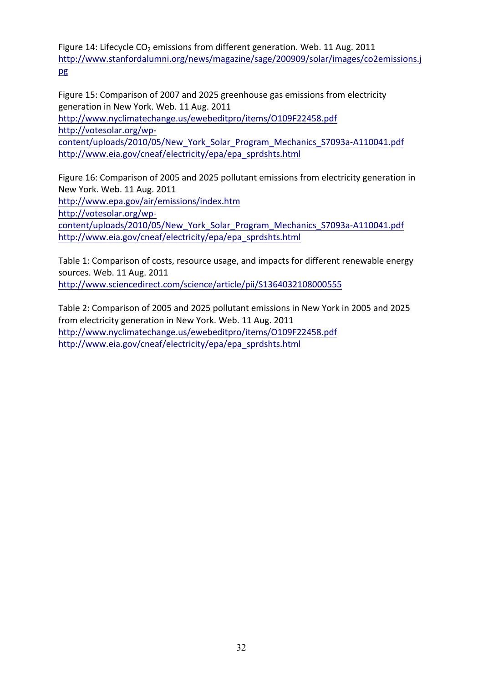Figure 14: Lifecycle  $CO<sub>2</sub>$  emissions from different generation. Web. 11 Aug. 2011 http://www.stanfordalumni.org/news/magazine/sage/200909/solar/images/co2emissions.j pg

Figure 15: Comparison of 2007 and 2025 greenhouse gas emissions from electricity generation in New York. Web. 11 Aug. 2011 http://www.nyclimatechange.us/ewebeditpro/items/O109F22458.pdf http://votesolar.org/wpcontent/uploads/2010/05/New\_York\_Solar\_Program\_Mechanics\_S7093a-A110041.pdf http://www.eia.gov/cneaf/electricity/epa/epa\_sprdshts.html

Figure 16: Comparison of 2005 and 2025 pollutant emissions from electricity generation in New York. Web. 11 Aug. 2011 http://www.epa.gov/air/emissions/index.htm http://votesolar.org/wpcontent/uploads/2010/05/New\_York\_Solar\_Program\_Mechanics\_S7093a-A110041.pdf http://www.eia.gov/cneaf/electricity/epa/epa\_sprdshts.html

Table 1: Comparison of costs, resource usage, and impacts for different renewable energy sources. Web. 11 Aug. 2011 http://www.sciencedirect.com/science/article/pii/S1364032108000555

Table 2: Comparison of 2005 and 2025 pollutant emissions in New York in 2005 and 2025 from electricity generation in New York. Web. 11 Aug. 2011 http://www.nyclimatechange.us/ewebeditpro/items/O109F22458.pdf http://www.eia.gov/cneaf/electricity/epa/epa\_sprdshts.html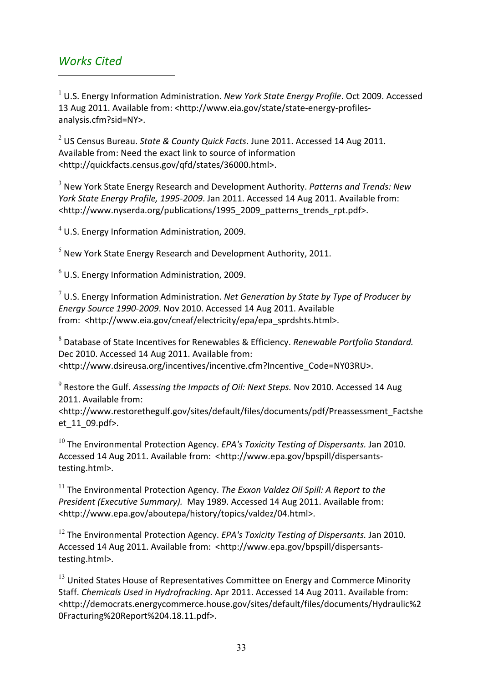## **Works Cited**

!!!!!!!!!!!!!!!!!!!!!!!!!!!!!!!!!!!!!!!!!!!!!!!!!!!!!!!

<sup>1</sup> U.S. Energy Information Administration. New York State Energy Profile. Oct 2009. Accessed 13 Aug 2011. Available from: <http://www.eia.gov/state/state-energy-profilesanalysis.cfm?sid=NY>.

<sup>2</sup> US Census Bureau. State & County Quick Facts. June 2011. Accessed 14 Aug 2011. Available from: Need the exact link to source of information <http://quickfacts.census.gov/qfd/states/36000.html>.

<sup>3</sup> New York State Energy Research and Development Authority. *Patterns and Trends: New York State Energy Profile, 1995-2009. Jan 2011. Accessed 14 Aug 2011. Available from:* <http://www.nyserda.org/publications/1995\_2009\_patterns\_trends\_rpt.pdf>.

 $<sup>4</sup>$  U.S. Energy Information Administration, 2009.</sup>

 $5$  New York State Energy Research and Development Authority, 2011.

 $6$  U.S. Energy Information Administration, 2009.

 $<sup>7</sup>$  U.S. Energy Information Administration. *Net Generation by State by Type of Producer by*</sup> *Energy Source 1990-2009. Nov 2010. Accessed 14 Aug 2011. Available* from: <http://www.eia.gov/cneaf/electricity/epa/epa\_sprdshts.html>.

<sup>8</sup> Database of State Incentives for Renewables & Efficiency. *Renewable Portfolio Standard.* Dec 2010. Accessed 14 Aug 2011. Available from: <http://www.dsireusa.org/incentives/incentive.cfm?Incentive\_Code=NY03RU>.

<sup>9</sup> Restore the Gulf. *Assessing the Impacts of Oil: Next Steps.* Nov 2010. Accessed 14 Aug 2011. Available from:

<http://www.restorethegulf.gov/sites/default/files/documents/pdf/Preassessment\_Factshe et\_11\_09.pdf>.

<sup>10</sup> The Environmental Protection Agency. *EPA's Toxicity Testing of Dispersants.* Jan 2010. Accessed 14 Aug 2011. Available from: <http://www.epa.gov/bpspill/dispersantstesting.html>.

<sup>11</sup> The Environmental Protection Agency. *The Exxon Valdez Oil Spill: A Report to the President (Executive Summary).* May 1989. Accessed 14 Aug 2011. Available from: <http://www.epa.gov/aboutepa/history/topics/valdez/04.html>.

<sup>12</sup> The Environmental Protection Agency. *EPA's Toxicity Testing of Dispersants.* Jan 2010. Accessed 14 Aug 2011. Available from: <http://www.epa.gov/bpspill/dispersantstesting.html>.

 $13$  United States House of Representatives Committee on Energy and Commerce Minority Staff. Chemicals Used in Hydrofracking. Apr 2011. Accessed 14 Aug 2011. Available from: <http://democrats.energycommerce.house.gov/sites/default/files/documents/Hydraulic%2 0Fracturing%20Report%204.18.11.pdf>.!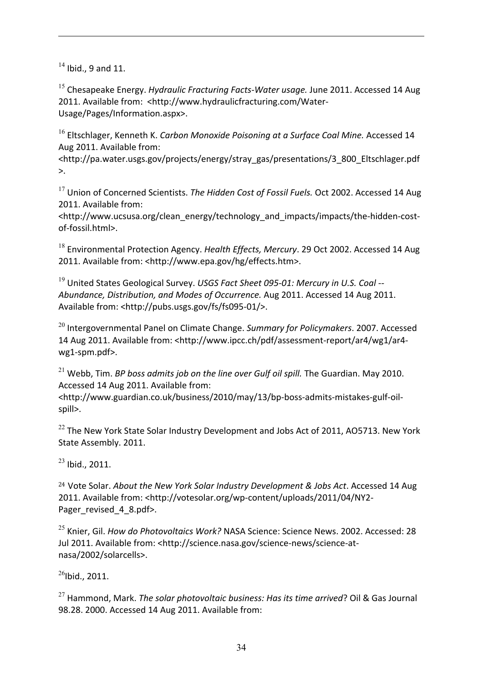$14$  Ibid., 9 and 11.

<sup>15</sup> Chesapeake Energy. *Hydraulic Fracturing Facts-Water usage.* June 2011. Accessed 14 Aug 2011. Available from: <http://www.hydraulicfracturing.com/Water-Usage/Pages/Information.aspx>.

!!!!!!!!!!!!!!!!!!!!!!!!!!!!!!!!!!!!!!!!!!!!!!!!!!!!!!!!!!!!!!!!!!!!!!!!!!!!!!!!!!!!!!!!!!!!!!!!!!!!!!!!!!!!!!!!!!!!!!!!!!!!!!!!!!!!!!!!!!!!!!!!!!!!!!!!!!!!!!!!!!!!!!!!!!!

<sup>16</sup> Eltschlager, Kenneth K. *Carbon Monoxide Poisoning at a Surface Coal Mine.* Accessed 14 Aug 2011. Available from:

<http://pa.water.usgs.gov/projects/energy/stray\_gas/presentations/3\_800\_Eltschlager.pdf  $\mathbf{L}$ 

<sup>17</sup> Union of Concerned Scientists. *The Hidden Cost of Fossil Fuels.* Oct 2002. Accessed 14 Aug 2011. Available from:

<http://www.ucsusa.org/clean\_energy/technology\_and\_impacts/impacts/the-hidden-costof-fossil.html>.

<sup>18</sup> Environmental Protection Agency. *Health Effects, Mercury*. 29 Oct 2002. Accessed 14 Aug 2011. Available from: <http://www.epa.gov/hg/effects.htm>.

<sup>19</sup> United States Geological Survey. *USGS Fact Sheet 095-01: Mercury in U.S. Coal--*Abundance, Distribution, and Modes of Occurrence. Aug 2011. Accessed 14 Aug 2011. Available from: <http://pubs.usgs.gov/fs/fs095-01/>.

<sup>20</sup> Intergovernmental Panel on Climate Change. Summary for Policymakers. 2007. Accessed 14 Aug 2011. Available from: <http://www.ipcc.ch/pdf/assessment-report/ar4/wg1/ar4wg1-spm.pdf>.

<sup>21</sup> Webb, Tim. *BP boss admits job on the line over Gulf oil spill*. The Guardian. May 2010. Accessed 14 Aug 2011. Available from:

<http://www.guardian.co.uk/business/2010/may/13/bp-boss-admits-mistakes-gulf-oilspill>.

 $^{22}$  The New York State Solar Industry Development and Jobs Act of 2011, AO5713. New York State Assembly. 2011.

 $^{23}$  Ibid., 2011.

<sup>24</sup> Vote Solar. *About the New York Solar Industry Development & Jobs Act.* Accessed 14 Aug 2011. Available from: <http://votesolar.org/wp-content/uploads/2011/04/NY2-Pager\_revised\_4\_8.pdf>.

<sup>25</sup> Knier, Gil. *How do Photovoltaics Work?* NASA Science: Science News. 2002. Accessed: 28 Jul 2011. Available from: <http://science.nasa.gov/science-news/science-atnasa/2002/solarcells>.

 $^{26}$ Ibid., 2011.

<sup>27</sup> Hammond, Mark. *The solar photovoltaic business: Has its time arrived*? Oil & Gas Journal 98.28. 2000. Accessed 14 Aug 2011. Available from: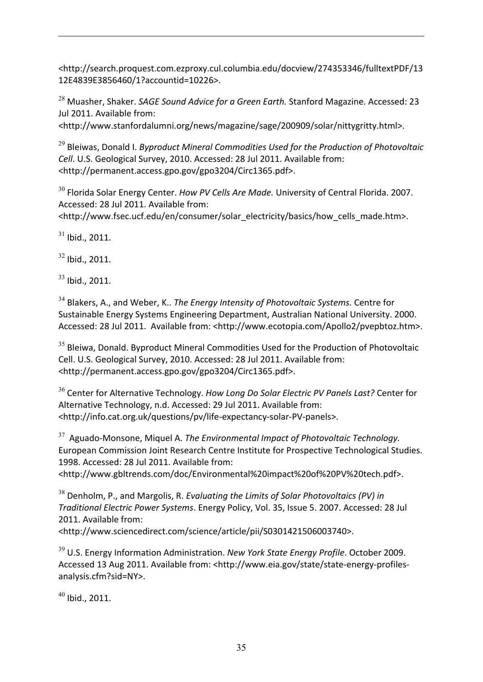<http://search.proquest.com.ezproxy.cul.columbia.edu/docview/274353346/fulltextPDF/13 12E4839E3856460/1?accountid=10226>.

!!!!!!!!!!!!!!!!!!!!!!!!!!!!!!!!!!!!!!!!!!!!!!!!!!!!!!!!!!!!!!!!!!!!!!!!!!!!!!!!!!!!!!!!!!!!!!!!!!!!!!!!!!!!!!!!!!!!!!!!!!!!!!!!!!!!!!!!!!!!!!!!!!!!!!!!!!!!!!!!!!!!!!!!!!!

<sup>28</sup> Muasher, Shaker. *SAGE Sound Advice for a Green Earth.* Stanford Magazine. Accessed: 23 Jul 2011. Available from:

<http://www.stanfordalumni.org/news/magazine/sage/200909/solar/nittygritty.html>.

<sup>29</sup> Bleiwas, Donald I. *Byproduct Mineral Commodities Used for the Production of Photovoltaic Cell.* U.S. Geological Survey, 2010. Accessed: 28 Jul 2011. Available from: <http://permanent.access.gpo.gov/gpo3204/Circ1365.pdf>.

<sup>30</sup> Florida Solar Energy Center. *How PV Cells Are Made.* University of Central Florida. 2007. Accessed: 28 Jul 2011. Available from:

<http://www.fsec.ucf.edu/en/consumer/solar\_electricity/basics/how\_cells\_made.htm>.

 $31$  Ibid., 2011.

 $32$  Ibid., 2011.

 $33$  Ibid., 2011.

<sup>34</sup> Blakers, A., and Weber, K.. *The Energy Intensity of Photovoltaic Systems.* Centre for Sustainable Energy Systems Engineering Department, Australian National University. 2000. Accessed: 28 Jul 2011. Available from: <http://www.ecotopia.com/Apollo2/pvepbtoz.htm>.

 $35$  Bleiwa, Donald. Byproduct Mineral Commodities Used for the Production of Photovoltaic Cell. U.S. Geological Survey, 2010. Accessed: 28 Jul 2011. Available from: <http://permanent.access.gpo.gov/gpo3204/Circ1365.pdf>.

<sup>36</sup> Center for Alternative Technology. *How Long Do Solar Electric PV Panels Last?* Center for Alternative Technology, n.d. Accessed: 29 Jul 2011. Available from: <http://info.cat.org.uk/questions/pv/life-expectancy-solar-PV-panels>.

<sup>37</sup> Aguado-Monsone, Miquel A. *The Environmental Impact of Photovoltaic Technology.* European Commission Joint Research Centre Institute for Prospective Technological Studies. 1998. Accessed: 28 Jul 2011. Available from:

<http://www.gbltrends.com/doc/Environmental%20impact%20of%20PV%20tech.pdf>.

<sup>38</sup> Denholm, P., and Margolis, R. *Evaluating the Limits of Solar Photovoltaics (PV) in Traditional Electric Power Systems*. Energy Policy, Vol. 35, Issue 5. 2007. Accessed: 28 Jul 2011. Available from:

<http://www.sciencedirect.com/science/article/pii/S0301421506003740>.

<sup>39</sup> U.S. Energy Information Administration. *New York State Energy Profile*. October 2009. Accessed 13 Aug 2011. Available from: <http://www.eia.gov/state/state-energy-profilesanalysis.cfm?sid=NY>.

 $40$  Ibid., 2011.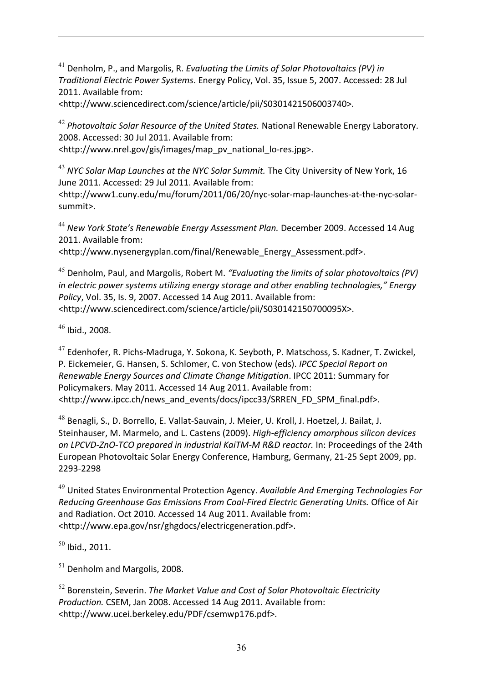<sup>41</sup> Denholm, P., and Margolis, R. *Evaluating the Limits of Solar Photovoltaics (PV) in Traditional Electric Power Systems*. Energy Policy, Vol. 35, Issue 5, 2007. Accessed: 28 Jul 2011. Available from:

!!!!!!!!!!!!!!!!!!!!!!!!!!!!!!!!!!!!!!!!!!!!!!!!!!!!!!!!!!!!!!!!!!!!!!!!!!!!!!!!!!!!!!!!!!!!!!!!!!!!!!!!!!!!!!!!!!!!!!!!!!!!!!!!!!!!!!!!!!!!!!!!!!!!!!!!!!!!!!!!!!!!!!!!!!!

<http://www.sciencedirect.com/science/article/pii/S0301421506003740>.

<sup>42</sup> Photovoltaic Solar Resource of the United States. National Renewable Energy Laboratory. 2008. Accessed: 30 Jul 2011. Available from: <http://www.nrel.gov/gis/images/map\_pv\_national\_lo-res.jpg>.

<sup>43</sup> NYC Solar Map Launches at the NYC Solar Summit. The City University of New York, 16 June 2011. Accessed: 29 Jul 2011. Available from:

<http://www1.cuny.edu/mu/forum/2011/06/20/nyc-solar-map-launches-at-the-nyc-solarsummit>.

<sup>44</sup> New York State's Renewable Energy Assessment Plan. December 2009. Accessed 14 Aug 2011. Available from:

<http://www.nysenergyplan.com/final/Renewable\_Energy\_Assessment.pdf>.

<sup>45</sup> Denholm, Paul, and Margolis, Robert M. "Evaluating the limits of solar photovoltaics (PV) in electric power systems utilizing energy storage and other enabling technologies," Energy *Policy*, Vol. 35, Is. 9, 2007. Accessed 14 Aug 2011. Available from: <http://www.sciencedirect.com/science/article/pii/S030142150700095X>.

 $46$  Ibid., 2008.

<sup>47</sup> Edenhofer, R. Pichs-Madruga, Y. Sokona, K. Seyboth, P. Matschoss, S. Kadner, T. Zwickel, P. Eickemeier, G. Hansen, S. Schlomer, C. von Stechow (eds). *IPCC Special Report on Renewable Energy Sources and Climate Change Mitigation. IPCC 2011: Summary for* Policymakers. May 2011. Accessed 14 Aug 2011. Available from: <http://www.ipcc.ch/news\_and\_events/docs/ipcc33/SRREN\_FD\_SPM\_final.pdf>.

<sup>48</sup> Benagli. S.. D. Borrello, E. Vallat-Sauvain, J. Meier, U. Kroll, J. Hoetzel, J. Bailat, J. Steinhauser, M. Marmelo, and L. Castens (2009). *High-efficiency amorphous silicon devices on LPCVD-ZnO-TCO prepared in industrial KaiTM-M R&D reactor.* In: Proceedings of the 24th European Photovoltaic Solar Energy Conference, Hamburg, Germany, 21-25 Sept 2009, pp. 2293-2298

<sup>49</sup> United States Environmental Protection Agency. Available And Emerging Technologies For Reducing Greenhouse Gas Emissions From Coal-Fired Electric Generating Units. Office of Air and Radiation. Oct 2010. Accessed 14 Aug 2011. Available from: <http://www.epa.gov/nsr/ghgdocs/electricgeneration.pdf>.

 $50$  Ibid., 2011.

 $51$  Denholm and Margolis, 2008.

<sup>52</sup> Borenstein, Severin, *The Market Value and Cost of Solar Photovoltaic Electricity Production.* CSEM, Jan 2008. Accessed 14 Aug 2011. Available from: <http://www.ucei.berkeley.edu/PDF/csemwp176.pdf>.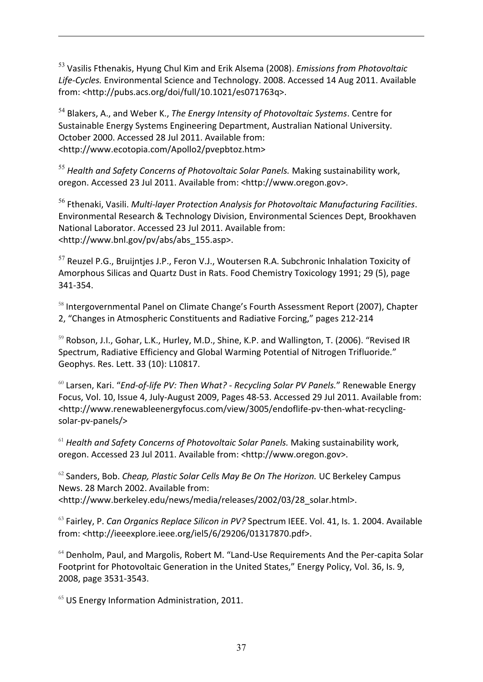<sup>53</sup> Vasilis Fthenakis, Hyung Chul Kim and Erik Alsema (2008). *Emissions from Photovoltaic* Life-Cycles. Environmental Science and Technology. 2008. Accessed 14 Aug 2011. Available from:!<http://pubs.acs.org/doi/full/10.1021/es071763q>.

!!!!!!!!!!!!!!!!!!!!!!!!!!!!!!!!!!!!!!!!!!!!!!!!!!!!!!!!!!!!!!!!!!!!!!!!!!!!!!!!!!!!!!!!!!!!!!!!!!!!!!!!!!!!!!!!!!!!!!!!!!!!!!!!!!!!!!!!!!!!!!!!!!!!!!!!!!!!!!!!!!!!!!!!!!!

<sup>54</sup> Blakers, A., and Weber K., *The Energy Intensity of Photovoltaic Systems*. Centre for Sustainable Energy Systems Engineering Department, Australian National University. October 2000. Accessed 28 Jul 2011. Available from: <http://www.ecotopia.com/Apollo2/pvepbtoz.htm>

<sup>55</sup> Health and Safety Concerns of Photovoltaic Solar Panels. Making sustainability work, oregon. Accessed 23 Jul 2011. Available from: <http://www.oregon.gov>.

<sup>56</sup> Fthenaki, Vasili. *Multi-layer Protection Analysis for Photovoltaic Manufacturing Facilities*. Environmental Research & Technology Division, Environmental Sciences Dept, Brookhaven National Laborator. Accessed 23 Jul 2011. Available from: <http://www.bnl.gov/pv/abs/abs\_155.asp>.!!!

 $57$  Reuzel P.G., Bruijntjes J.P., Feron V.J., Woutersen R.A. Subchronic Inhalation Toxicity of Amorphous Silicas and Quartz Dust in Rats. Food Chemistry Toxicology 1991; 29 (5), page 341-354.

 $58$  Intergovernmental Panel on Climate Change's Fourth Assessment Report (2007), Chapter 2, "Changes in Atmospheric Constituents and Radiative Forcing," pages 212-214

 $59$  Robson, J.I., Gohar, L.K., Hurley, M.D., Shine, K.P. and Wallington, T. (2006). "Revised IR Spectrum, Radiative Efficiency and Global Warming Potential of Nitrogen Trifluoride." Geophys. Res. Lett. 33 (10): L10817.

<sup>60</sup> Larsen, Kari. "*End-of-life PV: Then What? - Recycling Solar PV Panels.*" Renewable Energy Focus, Vol. 10, Issue 4, July-August 2009, Pages 48-53. Accessed 29 Jul 2011. Available from: <http://www.renewableenergyfocus.com/view/3005/endoflife-pv-then-what-recyclingsolar-pv-panels/>

<sup>61</sup> Health and Safety Concerns of Photovoltaic Solar Panels. Making sustainability work, oregon. Accessed 23 Jul 2011. Available from: <http://www.oregon.gov>.

<sup>62</sup> Sanders, Bob. *Cheap, Plastic Solar Cells May Be On The Horizon.* UC Berkeley Campus News. 28 March 2002. Available from: <http://www.berkeley.edu/news/media/releases/2002/03/28\_solar.html>.

<sup>63</sup> Fairley, P. *Can Organics Replace Silicon in PV?* Spectrum IEEE. Vol. 41, Is. 1. 2004. Available from: <http://ieeexplore.ieee.org/iel5/6/29206/01317870.pdf>.

 $64$  Denholm, Paul, and Margolis, Robert M. "Land-Use Requirements And the Per-capita Solar Footprint for Photovoltaic Generation in the United States," Energy Policy, Vol. 36, Is. 9, 2008, page 3531-3543.

 $65$  US Energy Information Administration, 2011.